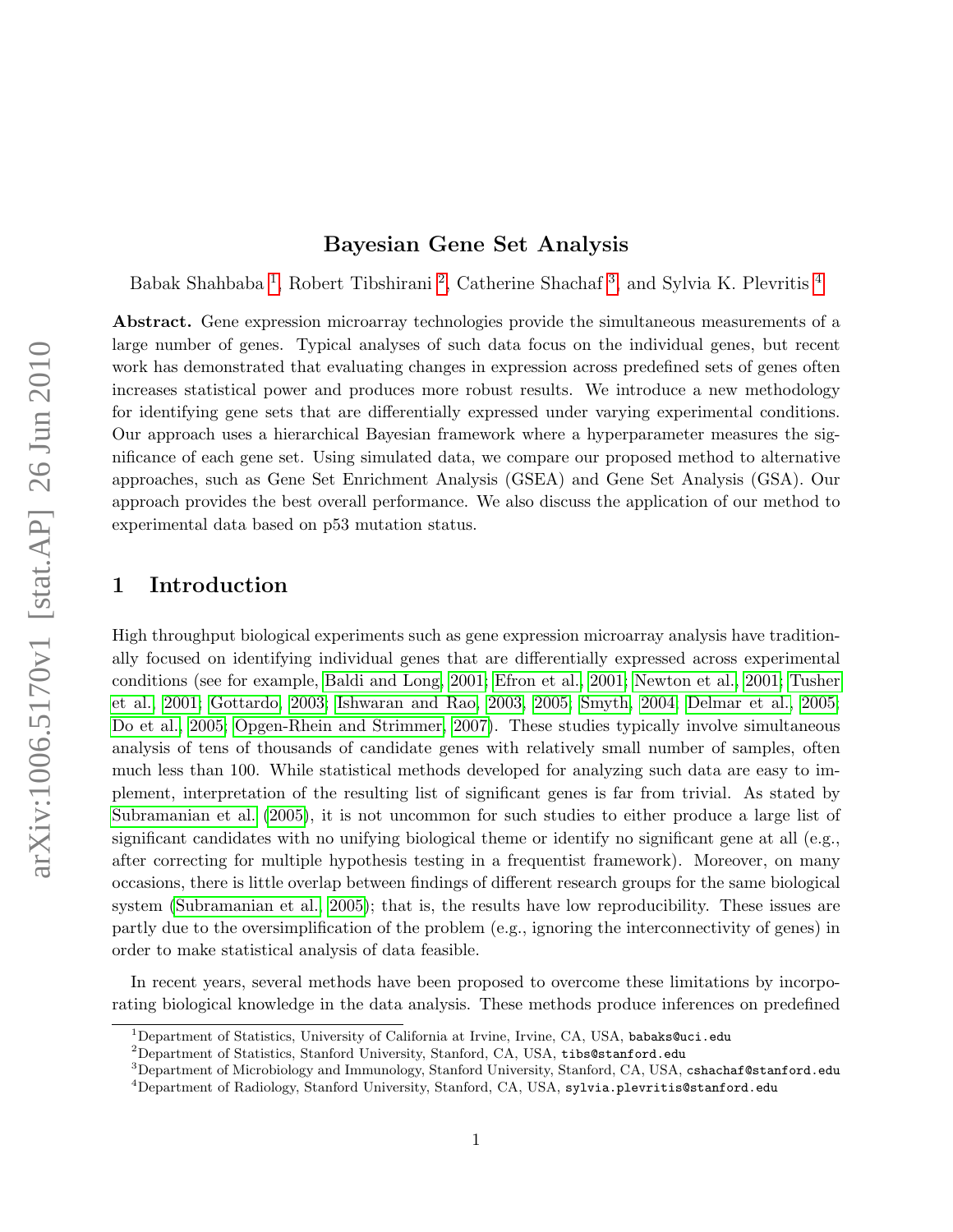#### Bayesian Gene Set Analysis

Babak Shahbaba<sup>[1](#page-0-0)</sup>, Robert Tibshirani<sup>[2](#page-0-1)</sup>, Catherine Shachaf<sup>[3](#page-0-2)</sup>, and Sylvia K. Plevritis<sup>[4](#page-0-3)</sup>

Abstract. Gene expression microarray technologies provide the simultaneous measurements of a large number of genes. Typical analyses of such data focus on the individual genes, but recent work has demonstrated that evaluating changes in expression across predefined sets of genes often increases statistical power and produces more robust results. We introduce a new methodology for identifying gene sets that are differentially expressed under varying experimental conditions. Our approach uses a hierarchical Bayesian framework where a hyperparameter measures the significance of each gene set. Using simulated data, we compare our proposed method to alternative approaches, such as Gene Set Enrichment Analysis (GSEA) and Gene Set Analysis (GSA). Our approach provides the best overall performance. We also discuss the application of our method to experimental data based on p53 mutation status.

# 1 Introduction

High throughput biological experiments such as gene expression microarray analysis have traditionally focused on identifying individual genes that are differentially expressed across experimental conditions (see for example, [Baldi and Long, 2001;](#page-14-0) [Efron et al., 2001;](#page-14-1) [Newton et al., 2001;](#page-15-0) [Tusher](#page-15-1) [et al., 2001;](#page-15-1) [Gottardo, 2003;](#page-14-2) [Ishwaran and Rao, 2003,](#page-14-3) [2005;](#page-14-4) [Smyth, 2004;](#page-15-2) [Delmar et al., 2005;](#page-14-5) [Do et al., 2005;](#page-14-6) [Opgen-Rhein and Strimmer, 2007\)](#page-15-3). These studies typically involve simultaneous analysis of tens of thousands of candidate genes with relatively small number of samples, often much less than 100. While statistical methods developed for analyzing such data are easy to implement, interpretation of the resulting list of significant genes is far from trivial. As stated by [Subramanian et al.](#page-15-4) [\(2005\)](#page-15-4), it is not uncommon for such studies to either produce a large list of significant candidates with no unifying biological theme or identify no significant gene at all (e.g., after correcting for multiple hypothesis testing in a frequentist framework). Moreover, on many occasions, there is little overlap between findings of different research groups for the same biological system [\(Subramanian et al., 2005\)](#page-15-4); that is, the results have low reproducibility. These issues are partly due to the oversimplification of the problem (e.g., ignoring the interconnectivity of genes) in order to make statistical analysis of data feasible.

In recent years, several methods have been proposed to overcome these limitations by incorporating biological knowledge in the data analysis. These methods produce inferences on predefined

<span id="page-0-0"></span><sup>&</sup>lt;sup>1</sup>Department of Statistics, University of California at Irvine, Irvine, CA, USA, babaks@uci.edu

<span id="page-0-1"></span><sup>&</sup>lt;sup>2</sup>Department of Statistics, Stanford University, Stanford, CA, USA, tibs@stanford.edu

<span id="page-0-2"></span><sup>&</sup>lt;sup>3</sup>Department of Microbiology and Immunology, Stanford University, Stanford, CA, USA, cshachaf@stanford.edu

<span id="page-0-3"></span><sup>&</sup>lt;sup>4</sup>Department of Radiology, Stanford University, Stanford, CA, USA, sylvia.plevritis@stanford.edu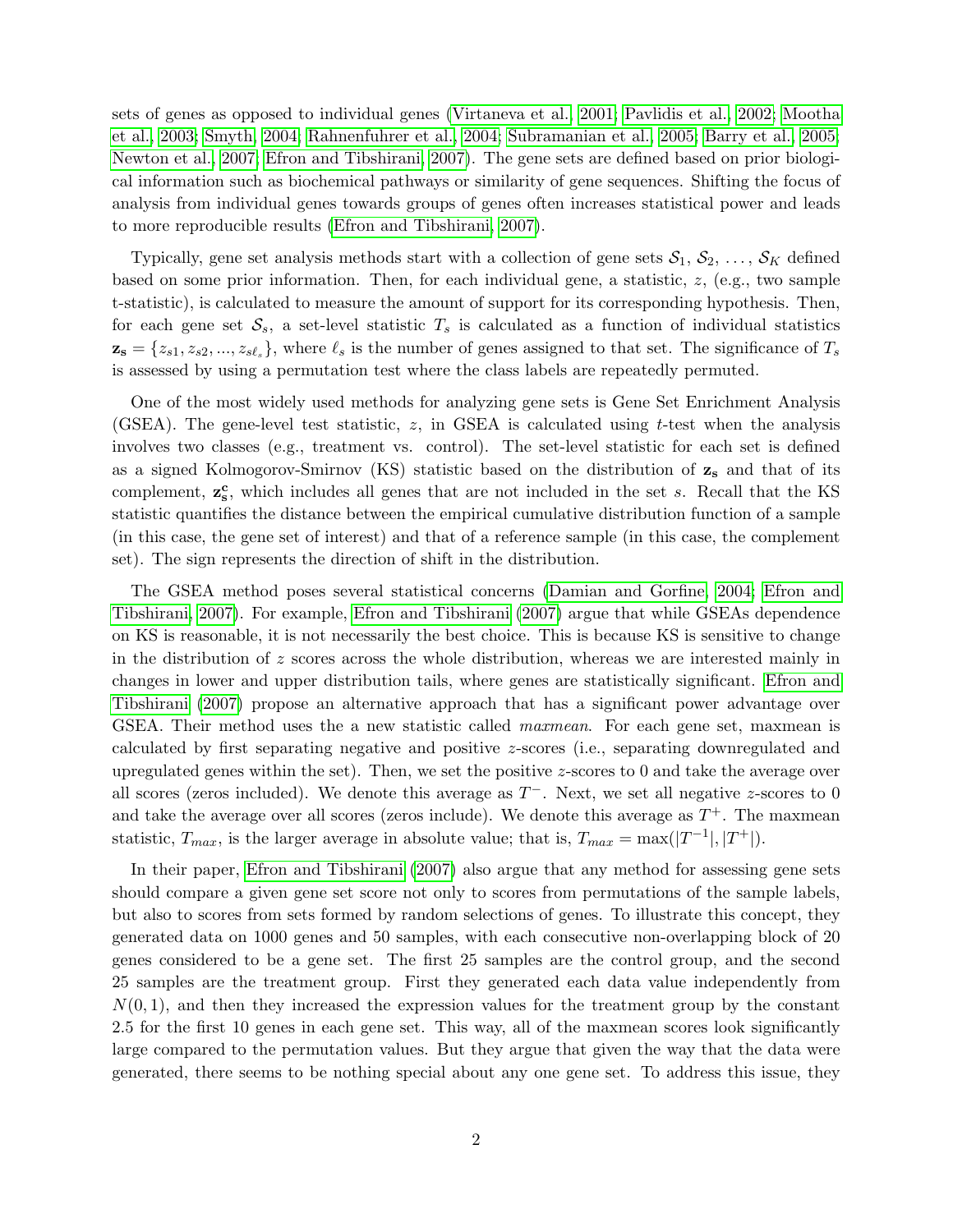sets of genes as opposed to individual genes [\(Virtaneva et al., 2001;](#page-16-0) [Pavlidis et al., 2002;](#page-15-5) [Mootha](#page-14-7) [et al., 2003;](#page-14-7) [Smyth, 2004;](#page-15-2) [Rahnenfuhrer et al., 2004;](#page-15-6) [Subramanian et al., 2005;](#page-15-4) [Barry et al., 2005;](#page-14-8) [Newton et al., 2007;](#page-15-7) [Efron and Tibshirani, 2007\)](#page-14-9). The gene sets are defined based on prior biological information such as biochemical pathways or similarity of gene sequences. Shifting the focus of analysis from individual genes towards groups of genes often increases statistical power and leads to more reproducible results [\(Efron and Tibshirani, 2007\)](#page-14-9).

Typically, gene set analysis methods start with a collection of gene sets  $S_1, S_2, \ldots, S_K$  defined based on some prior information. Then, for each individual gene, a statistic,  $z$ , (e.g., two sample t-statistic), is calculated to measure the amount of support for its corresponding hypothesis. Then, for each gene set  $S_s$ , a set-level statistic  $T_s$  is calculated as a function of individual statistics  $\mathbf{z_s} = \{z_{s1}, z_{s2}, ..., z_{s\ell_s}\},\$  where  $\ell_s$  is the number of genes assigned to that set. The significance of  $T_s$ is assessed by using a permutation test where the class labels are repeatedly permuted.

One of the most widely used methods for analyzing gene sets is Gene Set Enrichment Analysis (GSEA). The gene-level test statistic,  $z$ , in GSEA is calculated using t-test when the analysis involves two classes (e.g., treatment vs. control). The set-level statistic for each set is defined as a signed Kolmogorov-Smirnov (KS) statistic based on the distribution of  $z_s$  and that of its complement,  $z_s^c$ , which includes all genes that are not included in the set s. Recall that the KS statistic quantifies the distance between the empirical cumulative distribution function of a sample (in this case, the gene set of interest) and that of a reference sample (in this case, the complement set). The sign represents the direction of shift in the distribution.

The GSEA method poses several statistical concerns [\(Damian and Gorfine, 2004;](#page-14-10) [Efron and](#page-14-9) [Tibshirani, 2007\)](#page-14-9). For example, [Efron and Tibshirani](#page-14-9) [\(2007\)](#page-14-9) argue that while GSEAs dependence on KS is reasonable, it is not necessarily the best choice. This is because KS is sensitive to change in the distribution of  $z$  scores across the whole distribution, whereas we are interested mainly in changes in lower and upper distribution tails, where genes are statistically significant. [Efron and](#page-14-9) [Tibshirani](#page-14-9) [\(2007\)](#page-14-9) propose an alternative approach that has a significant power advantage over GSEA. Their method uses the a new statistic called *maxmean*. For each gene set, maxmean is calculated by first separating negative and positive z-scores (i.e., separating downregulated and upregulated genes within the set). Then, we set the positive z-scores to 0 and take the average over all scores (zeros included). We denote this average as  $T^-$ . Next, we set all negative z-scores to 0 and take the average over all scores (zeros include). We denote this average as  $T^+$ . The maxmean statistic,  $T_{max}$ , is the larger average in absolute value; that is,  $T_{max} = \max(|T^{-1}|, |T^{+}|)$ .

In their paper, [Efron and Tibshirani](#page-14-9) [\(2007\)](#page-14-9) also argue that any method for assessing gene sets should compare a given gene set score not only to scores from permutations of the sample labels, but also to scores from sets formed by random selections of genes. To illustrate this concept, they generated data on 1000 genes and 50 samples, with each consecutive non-overlapping block of 20 genes considered to be a gene set. The first 25 samples are the control group, and the second 25 samples are the treatment group. First they generated each data value independently from  $N(0, 1)$ , and then they increased the expression values for the treatment group by the constant 2.5 for the first 10 genes in each gene set. This way, all of the maxmean scores look significantly large compared to the permutation values. But they argue that given the way that the data were generated, there seems to be nothing special about any one gene set. To address this issue, they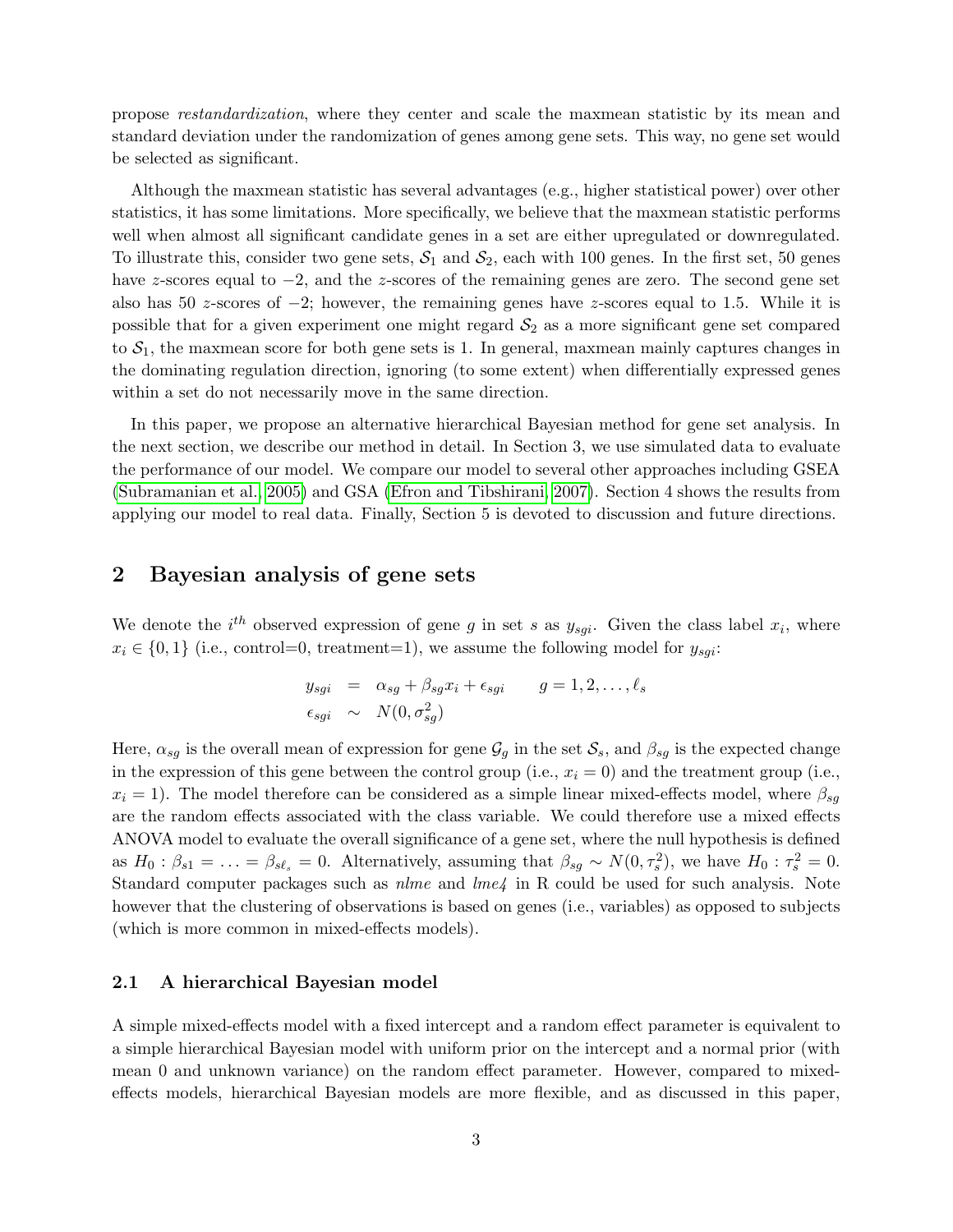propose restandardization, where they center and scale the maxmean statistic by its mean and standard deviation under the randomization of genes among gene sets. This way, no gene set would be selected as significant.

Although the maxmean statistic has several advantages (e.g., higher statistical power) over other statistics, it has some limitations. More specifically, we believe that the maxmean statistic performs well when almost all significant candidate genes in a set are either upregulated or downregulated. To illustrate this, consider two gene sets,  $S_1$  and  $S_2$ , each with 100 genes. In the first set, 50 genes have z-scores equal to −2, and the z-scores of the remaining genes are zero. The second gene set also has 50 z-scores of  $-2$ ; however, the remaining genes have z-scores equal to 1.5. While it is possible that for a given experiment one might regard  $S_2$  as a more significant gene set compared to  $S_1$ , the maxmean score for both gene sets is 1. In general, maxmean mainly captures changes in the dominating regulation direction, ignoring (to some extent) when differentially expressed genes within a set do not necessarily move in the same direction.

In this paper, we propose an alternative hierarchical Bayesian method for gene set analysis. In the next section, we describe our method in detail. In Section 3, we use simulated data to evaluate the performance of our model. We compare our model to several other approaches including GSEA [\(Subramanian et al., 2005\)](#page-15-4) and GSA [\(Efron and Tibshirani, 2007\)](#page-14-9). Section 4 shows the results from applying our model to real data. Finally, Section 5 is devoted to discussion and future directions.

## 2 Bayesian analysis of gene sets

We denote the  $i^{th}$  observed expression of gene g in set s as  $y_{sgi}$ . Given the class label  $x_i$ , where  $x_i \in \{0,1\}$  (i.e., control=0, treatment=1), we assume the following model for  $y_{sgi}$ :

$$
y_{sgi} = \alpha_{sg} + \beta_{sg} x_i + \epsilon_{sgi} \qquad g = 1, 2, \dots, \ell_s
$$
  

$$
\epsilon_{sgi} \sim N(0, \sigma_{sg}^2)
$$

Here,  $\alpha_{sg}$  is the overall mean of expression for gene  $\mathcal{G}_g$  in the set  $\mathcal{S}_s$ , and  $\beta_{sg}$  is the expected change in the expression of this gene between the control group (i.e.,  $x_i = 0$ ) and the treatment group (i.e.,  $x_i = 1$ ). The model therefore can be considered as a simple linear mixed-effects model, where  $\beta_{sq}$ are the random effects associated with the class variable. We could therefore use a mixed effects ANOVA model to evaluate the overall significance of a gene set, where the null hypothesis is defined as  $H_0: \beta_{s1} = \ldots = \beta_{s\ell_s} = 0$ . Alternatively, assuming that  $\beta_{sg} \sim N(0, \tau_s^2)$ , we have  $H_0: \tau_s^2 = 0$ . Standard computer packages such as *nlme* and *lme4* in R could be used for such analysis. Note however that the clustering of observations is based on genes (i.e., variables) as opposed to subjects (which is more common in mixed-effects models).

#### 2.1 A hierarchical Bayesian model

A simple mixed-effects model with a fixed intercept and a random effect parameter is equivalent to a simple hierarchical Bayesian model with uniform prior on the intercept and a normal prior (with mean 0 and unknown variance) on the random effect parameter. However, compared to mixedeffects models, hierarchical Bayesian models are more flexible, and as discussed in this paper,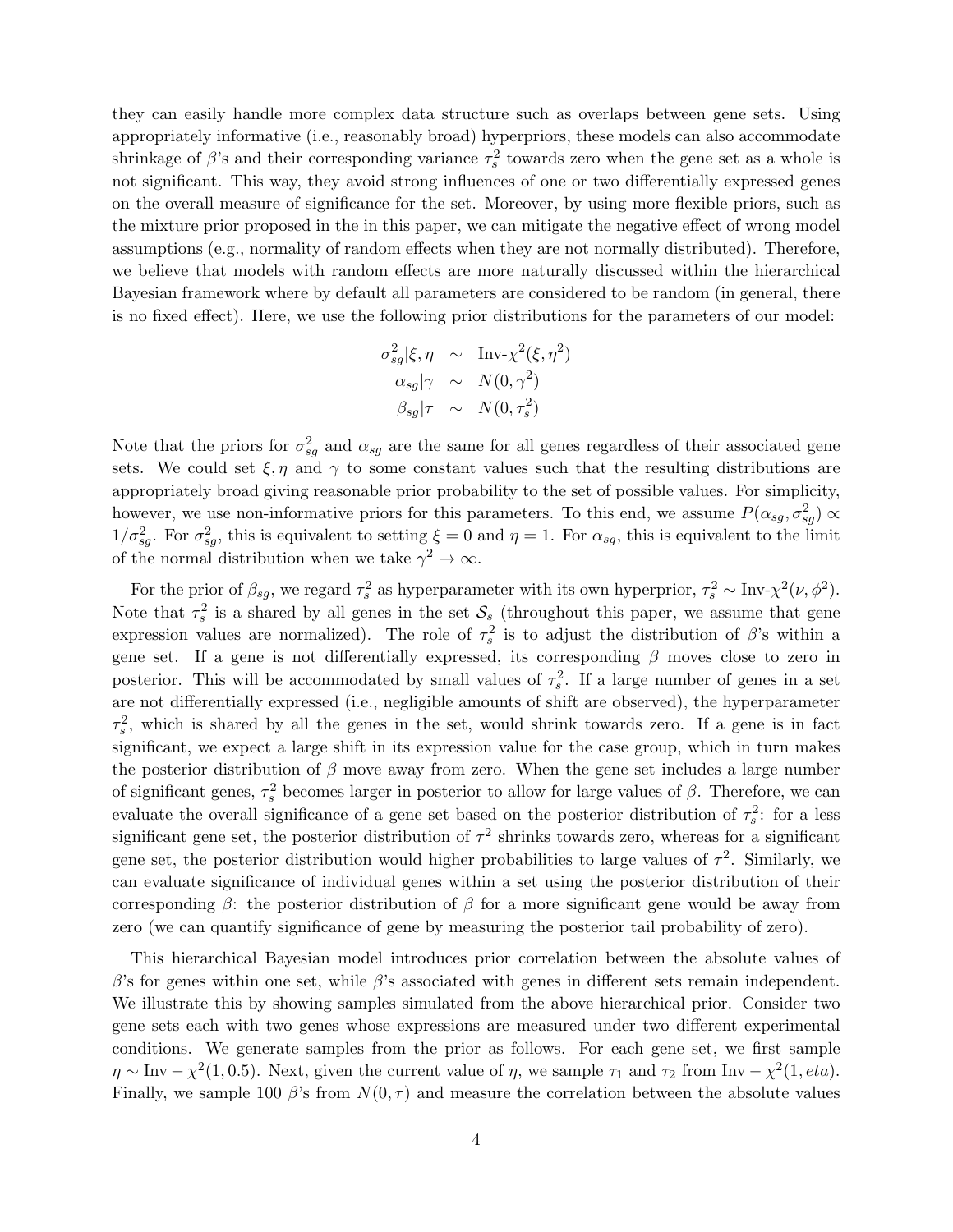they can easily handle more complex data structure such as overlaps between gene sets. Using appropriately informative (i.e., reasonably broad) hyperpriors, these models can also accommodate shrinkage of  $\beta$ 's and their corresponding variance  $\tau_s^2$  towards zero when the gene set as a whole is not significant. This way, they avoid strong influences of one or two differentially expressed genes on the overall measure of significance for the set. Moreover, by using more flexible priors, such as the mixture prior proposed in the in this paper, we can mitigate the negative effect of wrong model assumptions (e.g., normality of random effects when they are not normally distributed). Therefore, we believe that models with random effects are more naturally discussed within the hierarchical Bayesian framework where by default all parameters are considered to be random (in general, there is no fixed effect). Here, we use the following prior distributions for the parameters of our model:

$$
\sigma_{sg}^2|\xi, \eta \sim \text{Inv-}\chi^2(\xi, \eta^2)
$$
  
\n
$$
\alpha_{sg}|\gamma \sim N(0, \gamma^2)
$$
  
\n
$$
\beta_{sg}|\tau \sim N(0, \tau_s^2)
$$

Note that the priors for  $\sigma_{sg}^2$  and  $\alpha_{sg}$  are the same for all genes regardless of their associated gene sets. We could set  $\xi, \eta$  and  $\gamma$  to some constant values such that the resulting distributions are appropriately broad giving reasonable prior probability to the set of possible values. For simplicity, however, we use non-informative priors for this parameters. To this end, we assume  $P(\alpha_{sg}, \sigma_{sg}^2) \propto$  $1/\sigma_{sg}^2$ . For  $\sigma_{sg}^2$ , this is equivalent to setting  $\xi = 0$  and  $\eta = 1$ . For  $\alpha_{sg}$ , this is equivalent to the limit of the normal distribution when we take  $\gamma^2 \to \infty$ .

For the prior of  $\beta_{sg}$ , we regard  $\tau_s^2$  as hyperparameter with its own hyperprior,  $\tau_s^2 \sim Inv-\chi^2(\nu, \phi^2)$ . Note that  $\tau_s^2$  is a shared by all genes in the set  $\mathcal{S}_s$  (throughout this paper, we assume that gene expression values are normalized). The role of  $\tau_s^2$  is to adjust the distribution of  $\beta$ 's within a gene set. If a gene is not differentially expressed, its corresponding  $\beta$  moves close to zero in posterior. This will be accommodated by small values of  $\tau_s^2$ . If a large number of genes in a set are not differentially expressed (i.e., negligible amounts of shift are observed), the hyperparameter  $\tau_s^2$ , which is shared by all the genes in the set, would shrink towards zero. If a gene is in fact significant, we expect a large shift in its expression value for the case group, which in turn makes the posterior distribution of  $\beta$  move away from zero. When the gene set includes a large number of significant genes,  $\tau_s^2$  becomes larger in posterior to allow for large values of  $\beta$ . Therefore, we can evaluate the overall significance of a gene set based on the posterior distribution of  $\tau_s^2$ : for a less significant gene set, the posterior distribution of  $\tau^2$  shrinks towards zero, whereas for a significant gene set, the posterior distribution would higher probabilities to large values of  $\tau^2$ . Similarly, we can evaluate significance of individual genes within a set using the posterior distribution of their corresponding  $\beta$ : the posterior distribution of  $\beta$  for a more significant gene would be away from zero (we can quantify significance of gene by measuring the posterior tail probability of zero).

This hierarchical Bayesian model introduces prior correlation between the absolute values of  $β$ 's for genes within one set, while  $β$ 's associated with genes in different sets remain independent. We illustrate this by showing samples simulated from the above hierarchical prior. Consider two gene sets each with two genes whose expressions are measured under two different experimental conditions. We generate samples from the prior as follows. For each gene set, we first sample  $\eta \sim \text{Inv} - \chi^2(1, 0.5)$ . Next, given the current value of  $\eta$ , we sample  $\tau_1$  and  $\tau_2$  from Inv  $-\chi^2(1, eta)$ . Finally, we sample 100  $\beta$ 's from  $N(0, \tau)$  and measure the correlation between the absolute values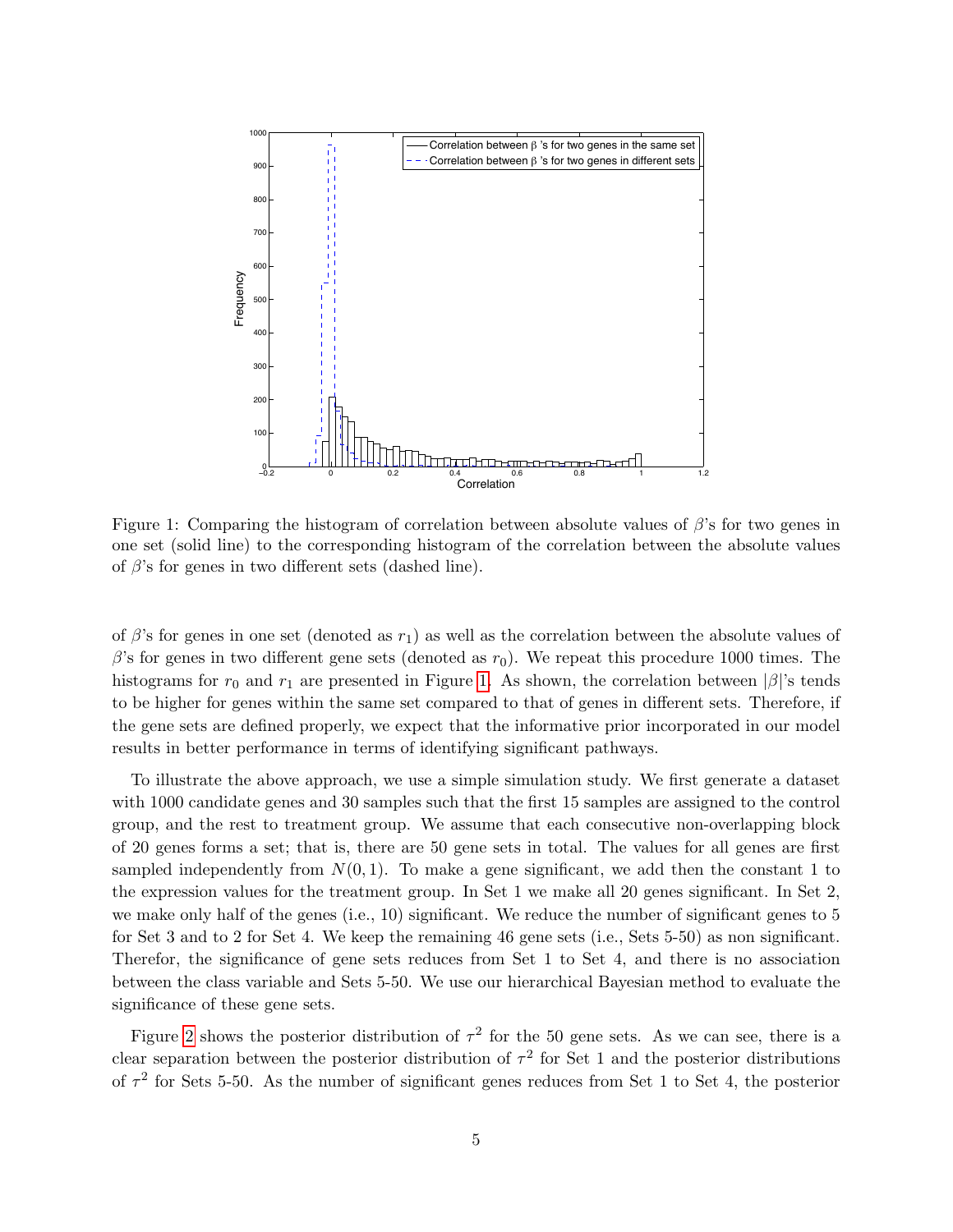

<span id="page-4-0"></span>Figure 1: Comparing the histogram of correlation between absolute values of  $\beta$ 's for two genes in one set (solid line) to the corresponding histogram of the correlation between the absolute values of  $\beta$ 's for genes in two different sets (dashed line).

of  $\beta$ 's for genes in one set (denoted as  $r_1$ ) as well as the correlation between the absolute values of  $\beta$ 's for genes in two different gene sets (denoted as  $r_0$ ). We repeat this procedure 1000 times. The histograms for  $r_0$  and  $r_1$  are presented in Figure [1.](#page-4-0) As shown, the correlation between  $|\beta|$ 's tends to be higher for genes within the same set compared to that of genes in different sets. Therefore, if the gene sets are defined properly, we expect that the informative prior incorporated in our model results in better performance in terms of identifying significant pathways.

To illustrate the above approach, we use a simple simulation study. We first generate a dataset with 1000 candidate genes and 30 samples such that the first 15 samples are assigned to the control group, and the rest to treatment group. We assume that each consecutive non-overlapping block of 20 genes forms a set; that is, there are 50 gene sets in total. The values for all genes are first sampled independently from  $N(0, 1)$ . To make a gene significant, we add then the constant 1 to the expression values for the treatment group. In Set 1 we make all 20 genes significant. In Set 2, we make only half of the genes (i.e., 10) significant. We reduce the number of significant genes to 5 for Set 3 and to 2 for Set 4. We keep the remaining 46 gene sets (i.e., Sets 5-50) as non significant. Therefor, the significance of gene sets reduces from Set 1 to Set 4, and there is no association between the class variable and Sets 5-50. We use our hierarchical Bayesian method to evaluate the significance of these gene sets.

Figure [2](#page-5-0) shows the posterior distribution of  $\tau^2$  for the 50 gene sets. As we can see, there is a clear separation between the posterior distribution of  $\tau^2$  for Set 1 and the posterior distributions of  $\tau^2$  for Sets 5-50. As the number of significant genes reduces from Set 1 to Set 4, the posterior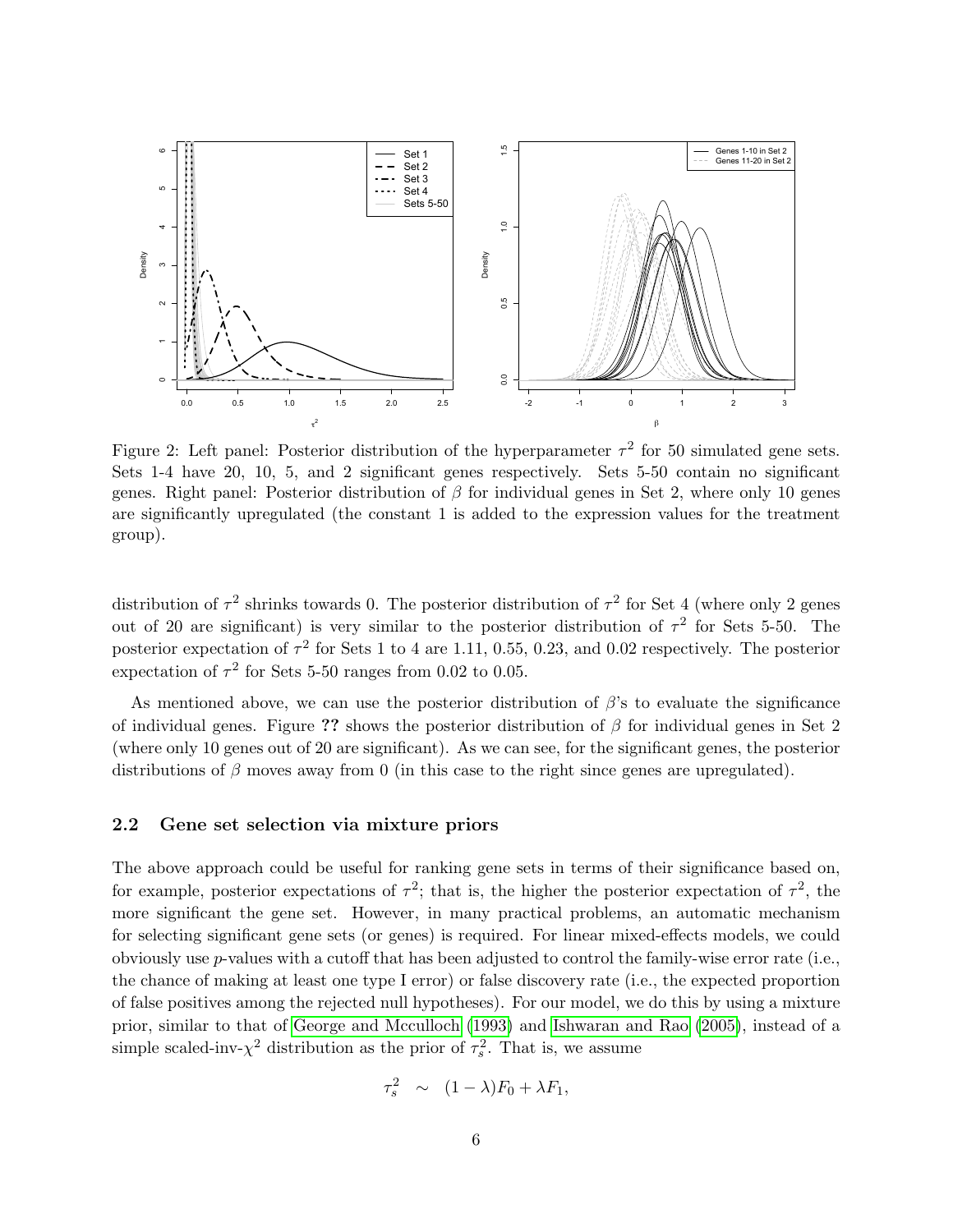

<span id="page-5-0"></span>Figure 2: Left panel: Posterior distribution of the hyperparameter  $\tau^2$  for 50 simulated gene sets. Sets 1-4 have 20, 10, 5, and 2 significant genes respectively. Sets 5-50 contain no significant genes. Right panel: Posterior distribution of  $\beta$  for individual genes in Set 2, where only 10 genes are significantly upregulated (the constant 1 is added to the expression values for the treatment group).

distribution of  $\tau^2$  shrinks towards 0. The posterior distribution of  $\tau^2$  for Set 4 (where only 2 genes out of 20 are significant) is very similar to the posterior distribution of  $\tau^2$  for Sets 5-50. The posterior expectation of  $\tau^2$  for Sets 1 to 4 are 1.11, 0.55, 0.23, and 0.02 respectively. The posterior expectation of  $\tau^2$  for Sets 5-50 ranges from 0.02 to 0.05.

As mentioned above, we can use the posterior distribution of  $\beta$ 's to evaluate the significance of individual genes. Figure ?? shows the posterior distribution of  $\beta$  for individual genes in Set 2 (where only 10 genes out of 20 are significant). As we can see, for the significant genes, the posterior distributions of  $\beta$  moves away from 0 (in this case to the right since genes are upregulated).

#### 2.2 Gene set selection via mixture priors

The above approach could be useful for ranking gene sets in terms of their significance based on, for example, posterior expectations of  $\tau^2$ ; that is, the higher the posterior expectation of  $\tau^2$ , the more significant the gene set. However, in many practical problems, an automatic mechanism for selecting significant gene sets (or genes) is required. For linear mixed-effects models, we could obviously use p-values with a cutoff that has been adjusted to control the family-wise error rate (i.e., the chance of making at least one type I error) or false discovery rate (i.e., the expected proportion of false positives among the rejected null hypotheses). For our model, we do this by using a mixture prior, similar to that of [George and Mcculloch](#page-14-11) [\(1993\)](#page-14-11) and [Ishwaran and Rao](#page-14-4) [\(2005\)](#page-14-4), instead of a simple scaled-inv- $\chi^2$  distribution as the prior of  $\tau_s^2$ . That is, we assume

$$
\tau_s^2 \sim (1 - \lambda)F_0 + \lambda F_1,
$$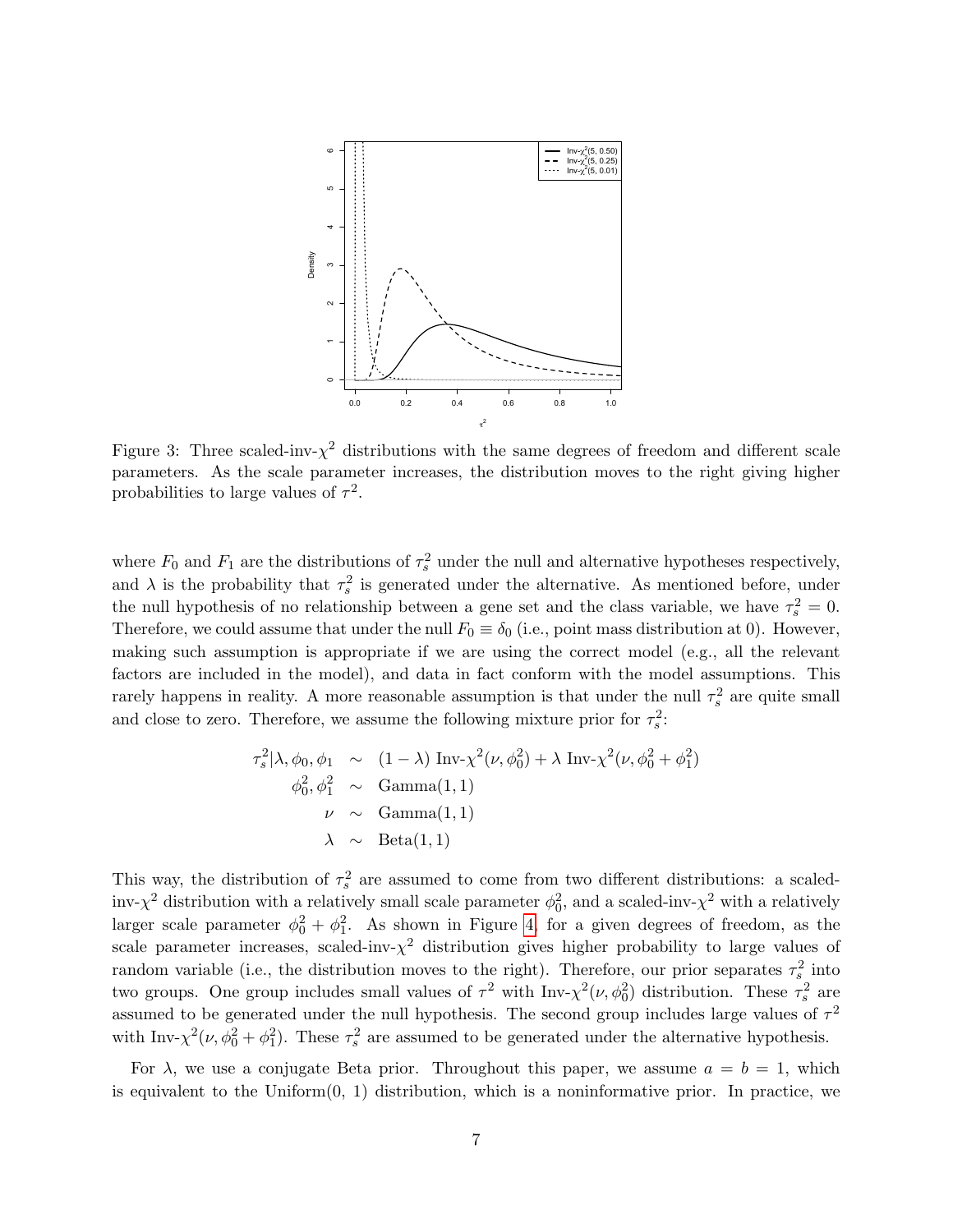

Figure 3: Three scaled-inv- $\chi^2$  distributions with the same degrees of freedom and different scale parameters. As the scale parameter increases, the distribution moves to the right giving higher probabilities to large values of  $\tau^2$ .

where  $F_0$  and  $F_1$  are the distributions of  $\tau_s^2$  under the null and alternative hypotheses respectively, and  $\lambda$  is the probability that  $\tau_s^2$  is generated under the alternative. As mentioned before, under the null hypothesis of no relationship between a gene set and the class variable, we have  $\tau_s^2 = 0$ . Therefore, we could assume that under the null  $F_0 \equiv \delta_0$  (i.e., point mass distribution at 0). However, making such assumption is appropriate if we are using the correct model (e.g., all the relevant factors are included in the model), and data in fact conform with the model assumptions. This rarely happens in reality. A more reasonable assumption is that under the null  $\tau_s^2$  are quite small and close to zero. Therefore, we assume the following mixture prior for  $\tau_s^2$ :

$$
\tau_s^2 | \lambda, \phi_0, \phi_1 \sim (1 - \lambda) \operatorname{Inv}(\chi^2(\nu, \phi_0^2) + \lambda \operatorname{Inv}(\chi^2(\nu, \phi_0^2 + \phi_1^2))
$$
  

$$
\phi_0^2, \phi_1^2 \sim \operatorname{Gamma}(1, 1)
$$
  

$$
\nu \sim \operatorname{Gamma}(1, 1)
$$
  

$$
\lambda \sim \operatorname{Beta}(1, 1)
$$

This way, the distribution of  $\tau_s^2$  are assumed to come from two different distributions: a scaledinv- $\chi^2$  distribution with a relatively small scale parameter  $\phi_0^2$ , and a scaled-inv- $\chi^2$  with a relatively larger scale parameter  $\phi_0^2 + \phi_1^2$ . As shown in Figure [4,](#page-7-0) for a given degrees of freedom, as the scale parameter increases, scaled-inv- $\chi^2$  distribution gives higher probability to large values of random variable (i.e., the distribution moves to the right). Therefore, our prior separates  $\tau_s^2$  into two groups. One group includes small values of  $\tau^2$  with  $\text{Inv-}\chi^2(\nu,\phi_0^2)$  distribution. These  $\tau_s^2$  are assumed to be generated under the null hypothesis. The second group includes large values of  $\tau^2$ with Inv- $\chi^2(\nu, \phi_0^2 + \phi_1^2)$ . These  $\tau_s^2$  are assumed to be generated under the alternative hypothesis.

For  $\lambda$ , we use a conjugate Beta prior. Throughout this paper, we assume  $a = b = 1$ , which is equivalent to the Uniform $(0, 1)$  distribution, which is a noninformative prior. In practice, we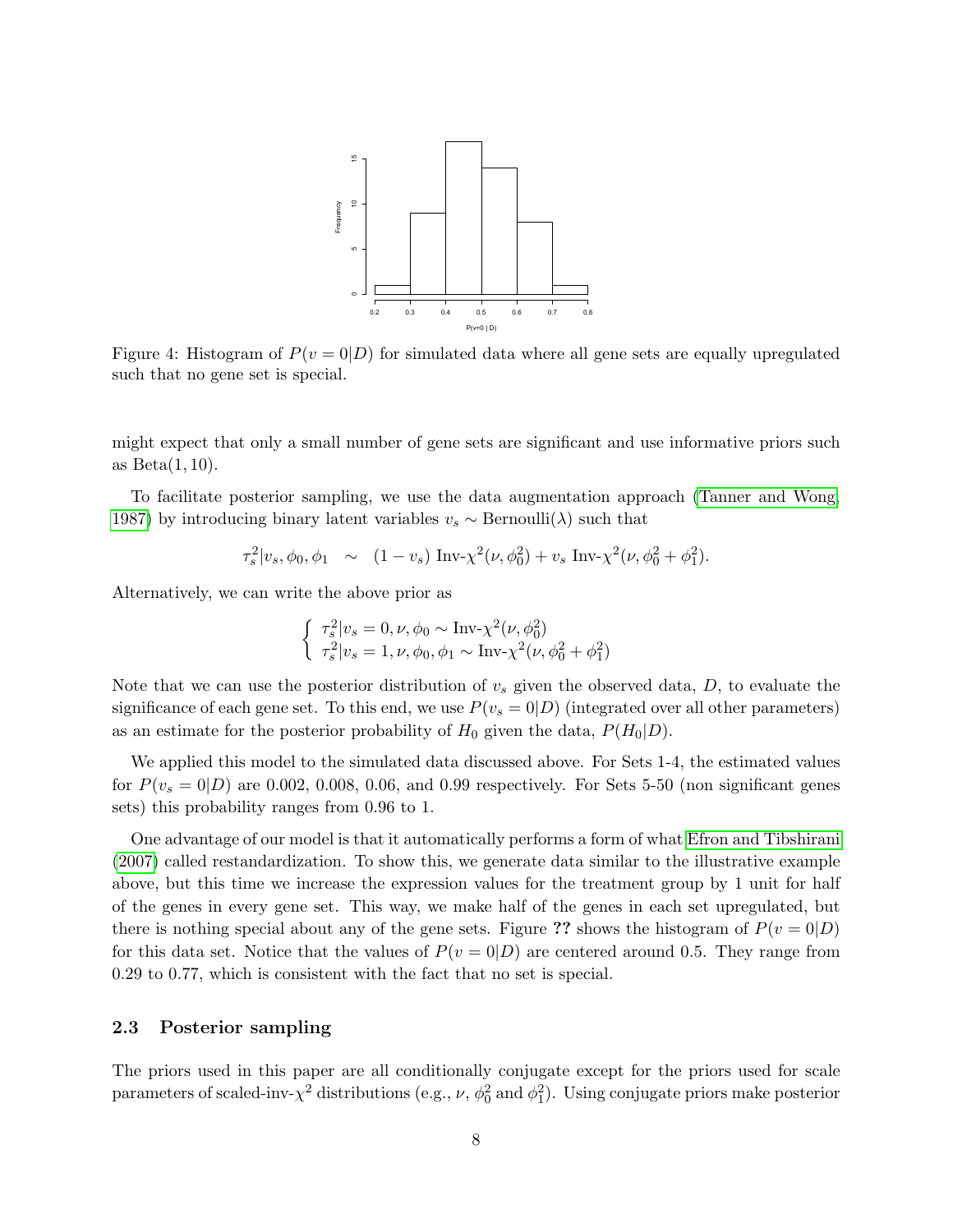

<span id="page-7-0"></span>Figure 4: Histogram of  $P(v = 0|D)$  for simulated data where all gene sets are equally upregulated such that no gene set is special.

might expect that only a small number of gene sets are significant and use informative priors such as  $Beta(1, 10)$ .

To facilitate posterior sampling, we use the data augmentation approach [\(Tanner and Wong,](#page-15-8) [1987\)](#page-15-8) by introducing binary latent variables  $v_s \sim \text{Bernoulli}(\lambda)$  such that

$$
\tau_s^2 | v_s, \phi_0, \phi_1 \sim (1 - v_s) \operatorname{Inv}(\chi^2(\nu, \phi_0^2) + v_s \operatorname{Inv}(\chi^2(\nu, \phi_0^2 + \phi_1^2)).
$$

Alternatively, we can write the above prior as

$$
\begin{cases} \tau_s^2 | v_s = 0, \nu, \phi_0 \sim \text{Inv-}\chi^2(\nu, \phi_0^2) \\ \tau_s^2 | v_s = 1, \nu, \phi_0, \phi_1 \sim \text{Inv-}\chi^2(\nu, \phi_0^2 + \phi_1^2) \end{cases}
$$

Note that we can use the posterior distribution of  $v<sub>s</sub>$  given the observed data,  $D$ , to evaluate the significance of each gene set. To this end, we use  $P(v_s = 0|D)$  (integrated over all other parameters) as an estimate for the posterior probability of  $H_0$  given the data,  $P(H_0|D)$ .

We applied this model to the simulated data discussed above. For Sets 1-4, the estimated values for  $P(v_s = 0|D)$  are 0.002, 0.008, 0.06, and 0.99 respectively. For Sets 5-50 (non significant genes sets) this probability ranges from 0.96 to 1.

One advantage of our model is that it automatically performs a form of what [Efron and Tibshirani](#page-14-9) [\(2007\)](#page-14-9) called restandardization. To show this, we generate data similar to the illustrative example above, but this time we increase the expression values for the treatment group by 1 unit for half of the genes in every gene set. This way, we make half of the genes in each set upregulated, but there is nothing special about any of the gene sets. Figure ?? shows the histogram of  $P(v = 0|D)$ for this data set. Notice that the values of  $P(v = 0|D)$  are centered around 0.5. They range from 0.29 to 0.77, which is consistent with the fact that no set is special.

#### 2.3 Posterior sampling

The priors used in this paper are all conditionally conjugate except for the priors used for scale parameters of scaled-inv- $\chi^2$  distributions (e.g.,  $\nu$ ,  $\phi_0^2$  and  $\phi_1^2$ ). Using conjugate priors make posterior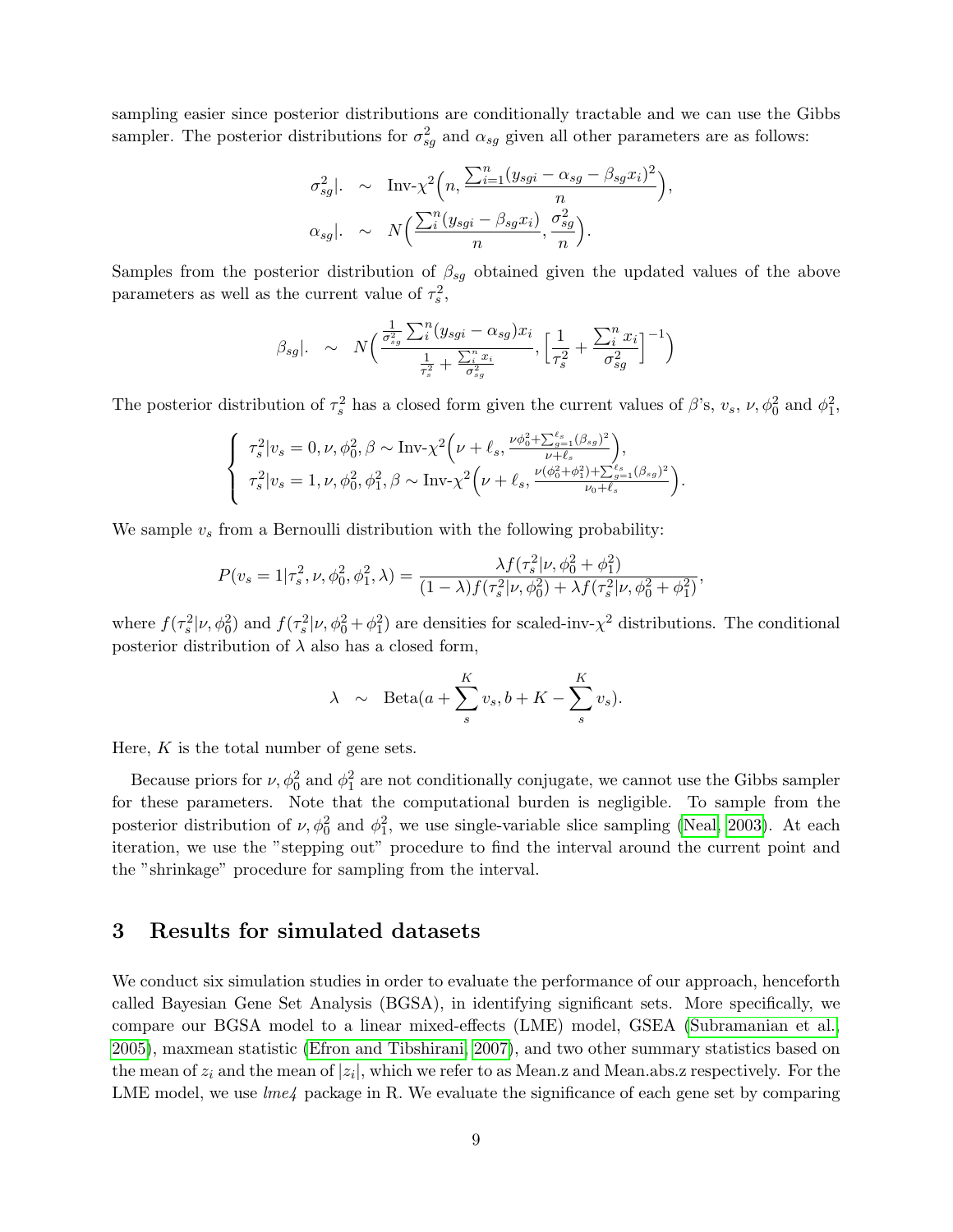sampling easier since posterior distributions are conditionally tractable and we can use the Gibbs sampler. The posterior distributions for  $\sigma_{sg}^2$  and  $\alpha_{sg}$  given all other parameters are as follows:

$$
\sigma_{sg}^2|. \sim \text{Inv-}\chi^2\left(n, \frac{\sum_{i=1}^n (y_{sgi} - \alpha_{sg} - \beta_{sg}x_i)^2}{n}\right)
$$

$$
\alpha_{sg}|. \sim N\left(\frac{\sum_{i}^n (y_{sgi} - \beta_{sg}x_i)}{n}, \frac{\sigma_{sg}^2}{n}\right).
$$

,

Samples from the posterior distribution of  $\beta_{sg}$  obtained given the updated values of the above parameters as well as the current value of  $\tau_s^2$ ,

$$
\beta_{sg}|.\sim N\Big(\frac{\frac{1}{\sigma_{sg}^2}\sum_{i}^{n}(y_{sgi}-\alpha_{sg})x_i}{\frac{1}{\tau_{s}^2}+\frac{\sum_{i}^{n}x_i}{\sigma_{sg}^2}},\Big[\frac{1}{\tau_{s}^2}+\frac{\sum_{i}^{n}x_i}{\sigma_{sg}^2}\Big]^{-1}\Big)
$$

The posterior distribution of  $\tau_s^2$  has a closed form given the current values of  $\beta$ 's,  $v_s$ ,  $\nu$ ,  $\phi_0^2$  and  $\phi_1^2$ ,

$$
\begin{cases}\n\tau_s^2 | v_s = 0, \nu, \phi_0^2, \beta \sim \text{Inv-}\chi^2 \Big( \nu + \ell_s, \frac{\nu \phi_0^2 + \sum_{g=1}^{\ell_s} (\beta_{sg})^2}{\nu + \ell_s} \Big), \\
\tau_s^2 | v_s = 1, \nu, \phi_0^2, \phi_1^2, \beta \sim \text{Inv-}\chi^2 \Big( \nu + \ell_s, \frac{\nu (\phi_0^2 + \phi_1^2) + \sum_{g=1}^{\ell_s} (\beta_{sg})^2}{\nu_0 + \ell_s} \Big). \n\end{cases}
$$

We sample  $v_s$  from a Bernoulli distribution with the following probability:

$$
P(v_s = 1 | \tau_s^2, \nu, \phi_0^2, \phi_1^2, \lambda) = \frac{\lambda f(\tau_s^2 | \nu, \phi_0^2 + \phi_1^2)}{(1 - \lambda)f(\tau_s^2 | \nu, \phi_0^2) + \lambda f(\tau_s^2 | \nu, \phi_0^2 + \phi_1^2)},
$$

where  $f(\tau_s^2|\nu, \phi_0^2)$  and  $f(\tau_s^2|\nu, \phi_0^2+\phi_1^2)$  are densities for scaled-inv- $\chi^2$  distributions. The conditional posterior distribution of  $\lambda$  also has a closed form,

$$
\lambda \sim \text{Beta}(a + \sum_{s}^{K} v_s, b + K - \sum_{s}^{K} v_s).
$$

Here,  $K$  is the total number of gene sets.

Because priors for  $\nu, \phi_0^2$  and  $\phi_1^2$  are not conditionally conjugate, we cannot use the Gibbs sampler for these parameters. Note that the computational burden is negligible. To sample from the posterior distribution of  $\nu, \phi_0^2$  and  $\phi_1^2$ , we use single-variable slice sampling [\(Neal, 2003\)](#page-15-9). At each iteration, we use the "stepping out" procedure to find the interval around the current point and the "shrinkage" procedure for sampling from the interval.

## 3 Results for simulated datasets

We conduct six simulation studies in order to evaluate the performance of our approach, henceforth called Bayesian Gene Set Analysis (BGSA), in identifying significant sets. More specifically, we compare our BGSA model to a linear mixed-effects (LME) model, GSEA [\(Subramanian et al.,](#page-15-4) [2005\)](#page-15-4), maxmean statistic [\(Efron and Tibshirani, 2007\)](#page-14-9), and two other summary statistics based on the mean of  $z_i$  and the mean of  $|z_i|$ , which we refer to as Mean.z and Mean.abs.z respectively. For the LME model, we use *lme4* package in R. We evaluate the significance of each gene set by comparing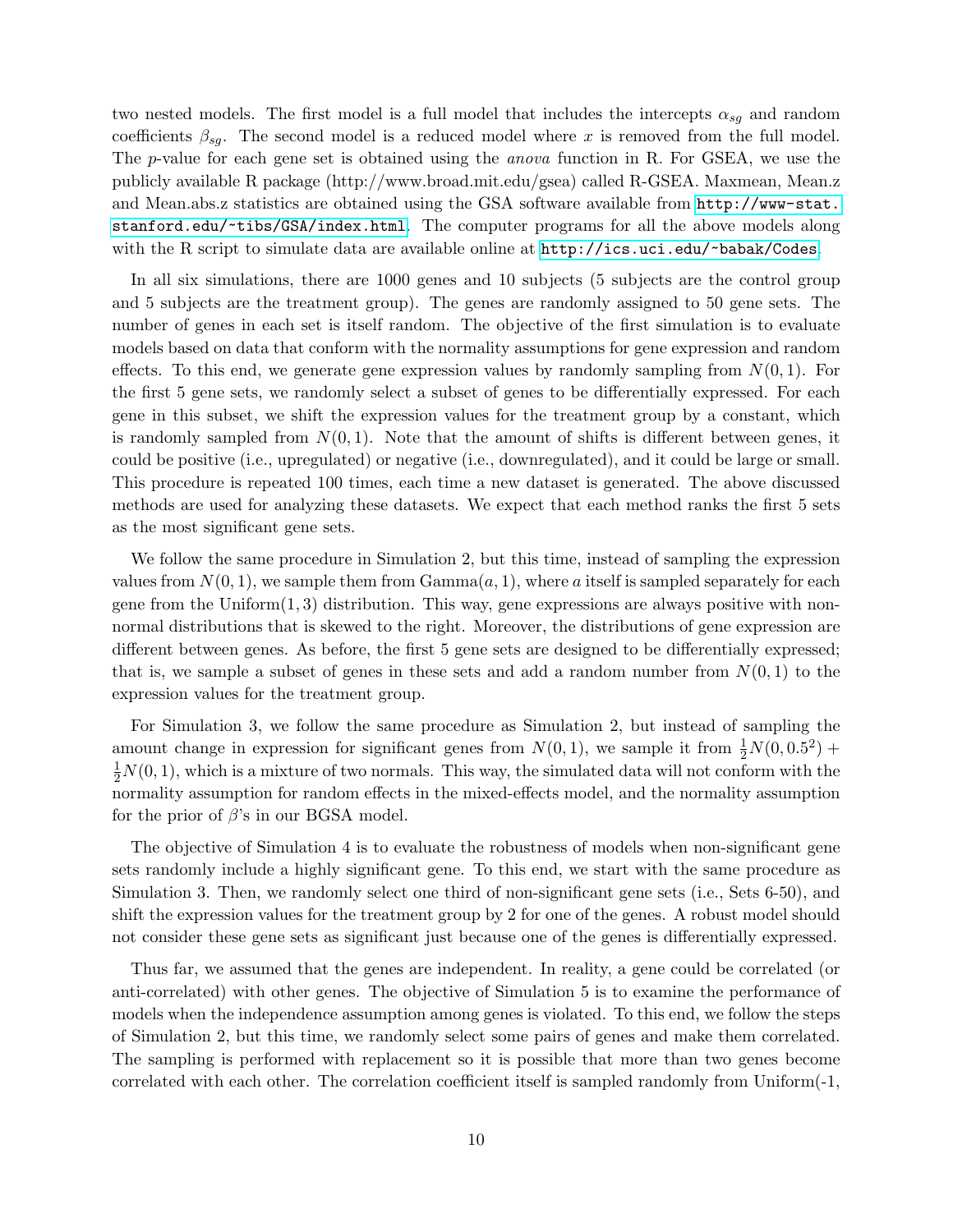two nested models. The first model is a full model that includes the intercepts  $\alpha_{sg}$  and random coefficients  $\beta_{sq}$ . The second model is a reduced model where x is removed from the full model. The p-value for each gene set is obtained using the *anova* function in R. For GSEA, we use the publicly available R package (http://www.broad.mit.edu/gsea) called R-GSEA. Maxmean, Mean.z and Mean.abs.z statistics are obtained using the GSA software available from [http://www-stat.](http://www-stat.stanford.edu/~tibs/GSA/index.html) [stanford.edu/~tibs/GSA/index.html](http://www-stat.stanford.edu/~tibs/GSA/index.html). The computer programs for all the above models along with the R script to simulate data are available online at  $http://ics.uci.edu/~babak/Codes.$  $http://ics.uci.edu/~babak/Codes.$ 

In all six simulations, there are 1000 genes and 10 subjects (5 subjects are the control group and 5 subjects are the treatment group). The genes are randomly assigned to 50 gene sets. The number of genes in each set is itself random. The objective of the first simulation is to evaluate models based on data that conform with the normality assumptions for gene expression and random effects. To this end, we generate gene expression values by randomly sampling from  $N(0, 1)$ . For the first 5 gene sets, we randomly select a subset of genes to be differentially expressed. For each gene in this subset, we shift the expression values for the treatment group by a constant, which is randomly sampled from  $N(0, 1)$ . Note that the amount of shifts is different between genes, it could be positive (i.e., upregulated) or negative (i.e., downregulated), and it could be large or small. This procedure is repeated 100 times, each time a new dataset is generated. The above discussed methods are used for analyzing these datasets. We expect that each method ranks the first 5 sets as the most significant gene sets.

We follow the same procedure in Simulation 2, but this time, instead of sampling the expression values from  $N(0, 1)$ , we sample them from  $Gamma(a, 1)$ , where a itself is sampled separately for each gene from the  $Uniform(1, 3)$  distribution. This way, gene expressions are always positive with nonnormal distributions that is skewed to the right. Moreover, the distributions of gene expression are different between genes. As before, the first 5 gene sets are designed to be differentially expressed; that is, we sample a subset of genes in these sets and add a random number from  $N(0, 1)$  to the expression values for the treatment group.

For Simulation 3, we follow the same procedure as Simulation 2, but instead of sampling the amount change in expression for significant genes from  $N(0, 1)$ , we sample it from  $\frac{1}{2}N(0, 0.5^2)$  +  $\frac{1}{2}N(0, 1)$ , which is a mixture of two normals. This way, the simulated data will not conform with the normality assumption for random effects in the mixed-effects model, and the normality assumption for the prior of  $\beta$ 's in our BGSA model.

The objective of Simulation 4 is to evaluate the robustness of models when non-significant gene sets randomly include a highly significant gene. To this end, we start with the same procedure as Simulation 3. Then, we randomly select one third of non-significant gene sets (i.e., Sets 6-50), and shift the expression values for the treatment group by 2 for one of the genes. A robust model should not consider these gene sets as significant just because one of the genes is differentially expressed.

Thus far, we assumed that the genes are independent. In reality, a gene could be correlated (or anti-correlated) with other genes. The objective of Simulation 5 is to examine the performance of models when the independence assumption among genes is violated. To this end, we follow the steps of Simulation 2, but this time, we randomly select some pairs of genes and make them correlated. The sampling is performed with replacement so it is possible that more than two genes become correlated with each other. The correlation coefficient itself is sampled randomly from Uniform(-1,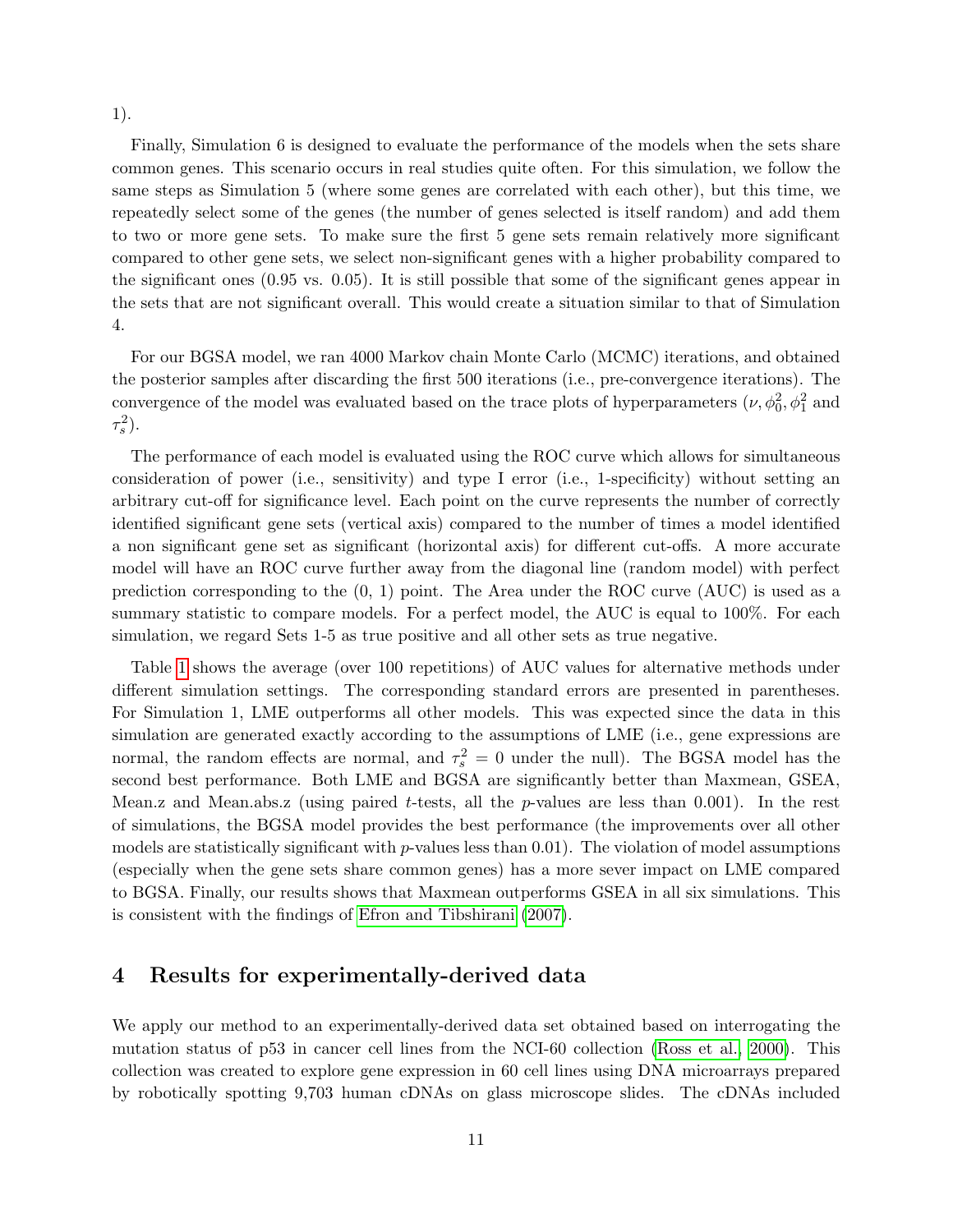#### 1).

Finally, Simulation 6 is designed to evaluate the performance of the models when the sets share common genes. This scenario occurs in real studies quite often. For this simulation, we follow the same steps as Simulation 5 (where some genes are correlated with each other), but this time, we repeatedly select some of the genes (the number of genes selected is itself random) and add them to two or more gene sets. To make sure the first 5 gene sets remain relatively more significant compared to other gene sets, we select non-significant genes with a higher probability compared to the significant ones (0.95 vs. 0.05). It is still possible that some of the significant genes appear in the sets that are not significant overall. This would create a situation similar to that of Simulation 4.

For our BGSA model, we ran 4000 Markov chain Monte Carlo (MCMC) iterations, and obtained the posterior samples after discarding the first 500 iterations (i.e., pre-convergence iterations). The convergence of the model was evaluated based on the trace plots of hyperparameters  $(\nu, \phi_0^2, \phi_1^2$  and  $\tau_s^2$ ).

The performance of each model is evaluated using the ROC curve which allows for simultaneous consideration of power (i.e., sensitivity) and type I error (i.e., 1-specificity) without setting an arbitrary cut-off for significance level. Each point on the curve represents the number of correctly identified significant gene sets (vertical axis) compared to the number of times a model identified a non significant gene set as significant (horizontal axis) for different cut-offs. A more accurate model will have an ROC curve further away from the diagonal line (random model) with perfect prediction corresponding to the (0, 1) point. The Area under the ROC curve (AUC) is used as a summary statistic to compare models. For a perfect model, the AUC is equal to 100%. For each simulation, we regard Sets 1-5 as true positive and all other sets as true negative.

Table [1](#page-11-0) shows the average (over 100 repetitions) of AUC values for alternative methods under different simulation settings. The corresponding standard errors are presented in parentheses. For Simulation 1, LME outperforms all other models. This was expected since the data in this simulation are generated exactly according to the assumptions of LME (i.e., gene expressions are normal, the random effects are normal, and  $\tau_s^2 = 0$  under the null). The BGSA model has the second best performance. Both LME and BGSA are significantly better than Maxmean, GSEA, Mean.z and Mean.abs.z (using paired t-tests, all the  $p$ -values are less than 0.001). In the rest of simulations, the BGSA model provides the best performance (the improvements over all other models are statistically significant with  $p$ -values less than 0.01). The violation of model assumptions (especially when the gene sets share common genes) has a more sever impact on LME compared to BGSA. Finally, our results shows that Maxmean outperforms GSEA in all six simulations. This is consistent with the findings of [Efron and Tibshirani](#page-14-9) [\(2007\)](#page-14-9).

## 4 Results for experimentally-derived data

We apply our method to an experimentally-derived data set obtained based on interrogating the mutation status of p53 in cancer cell lines from the NCI-60 collection [\(Ross et al., 2000\)](#page-15-10). This collection was created to explore gene expression in 60 cell lines using DNA microarrays prepared by robotically spotting 9,703 human cDNAs on glass microscope slides. The cDNAs included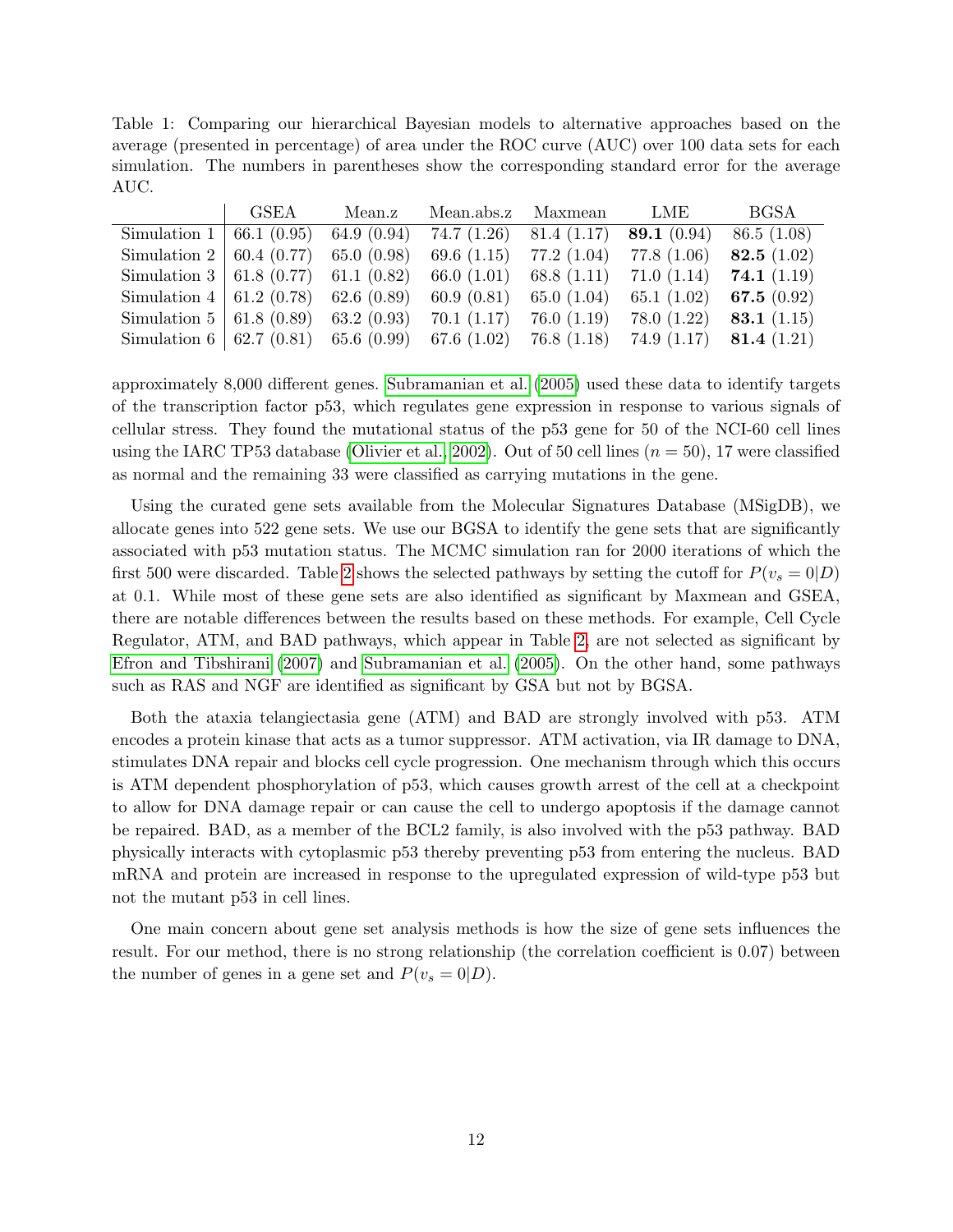<span id="page-11-0"></span>Table 1: Comparing our hierarchical Bayesian models to alternative approaches based on the average (presented in percentage) of area under the ROC curve (AUC) over 100 data sets for each simulation. The numbers in parentheses show the corresponding standard error for the average AUC.

|                                            | GSEA | Mean.z        | Mean.abs.z Maxmean         |               | LME           | <b>BGSA</b>                        |
|--------------------------------------------|------|---------------|----------------------------|---------------|---------------|------------------------------------|
| Simulation $1   66.1 (0.95)$               |      | 64.9 $(0.94)$ | $74.7(1.26)$ 81.4 $(1.17)$ |               | 89.1 $(0.94)$ | 86.5(1.08)                         |
| Simulation 2   60.4 (0.77) 65.0 (0.98)     |      |               | 69.6 $(1.15)$              | 77.2 (1.04)   | 77.8 (1.06)   | 82.5 $(1.02)$                      |
| Simulation 3   61.8 $(0.77)$ 61.1 $(0.82)$ |      |               | 66.0 $(1.01)$              | 68.8 $(1.11)$ |               | 71.0 $(1.14)$ 74.1 $(1.19)$        |
| Simulation 4   61.2 (0.78) 62.6 (0.89)     |      |               | 60.9(0.81)                 | 65.0 $(1.04)$ | 65.1 $(1.02)$ | 67.5 $(0.92)$                      |
| Simulation 5   61.8 $(0.89)$ 63.2 $(0.93)$ |      |               | 70.1(1.17)                 | 76.0(1.19)    |               | 78.0 $(1.22)$ <b>83.1</b> $(1.15)$ |
| Simulation 6   62.7 (0.81) 65.6 (0.99)     |      |               | 67.6 (1.02)                | 76.8(1.18)    |               | 74.9 $(1.17)$ <b>81.4</b> $(1.21)$ |

approximately 8,000 different genes. [Subramanian et al.](#page-15-4) [\(2005\)](#page-15-4) used these data to identify targets of the transcription factor p53, which regulates gene expression in response to various signals of cellular stress. They found the mutational status of the p53 gene for 50 of the NCI-60 cell lines using the IARC TP53 database [\(Olivier et al., 2002\)](#page-15-11). Out of 50 cell lines  $(n = 50)$ , 17 were classified as normal and the remaining 33 were classified as carrying mutations in the gene.

Using the curated gene sets available from the Molecular Signatures Database (MSigDB), we allocate genes into 522 gene sets. We use our BGSA to identify the gene sets that are significantly associated with p53 mutation status. The MCMC simulation ran for 2000 iterations of which the first 500 were discarded. Table [2](#page-12-0) shows the selected pathways by setting the cutoff for  $P(v_s = 0|D)$ at 0.1. While most of these gene sets are also identified as significant by Maxmean and GSEA, there are notable differences between the results based on these methods. For example, Cell Cycle Regulator, ATM, and BAD pathways, which appear in Table [2,](#page-12-0) are not selected as significant by [Efron and Tibshirani](#page-14-9) [\(2007\)](#page-14-9) and [Subramanian et al.](#page-15-4) [\(2005\)](#page-15-4). On the other hand, some pathways such as RAS and NGF are identified as significant by GSA but not by BGSA.

Both the ataxia telangiectasia gene (ATM) and BAD are strongly involved with p53. ATM encodes a protein kinase that acts as a tumor suppressor. ATM activation, via IR damage to DNA, stimulates DNA repair and blocks cell cycle progression. One mechanism through which this occurs is ATM dependent phosphorylation of p53, which causes growth arrest of the cell at a checkpoint to allow for DNA damage repair or can cause the cell to undergo apoptosis if the damage cannot be repaired. BAD, as a member of the BCL2 family, is also involved with the p53 pathway. BAD physically interacts with cytoplasmic p53 thereby preventing p53 from entering the nucleus. BAD mRNA and protein are increased in response to the upregulated expression of wild-type p53 but not the mutant p53 in cell lines.

One main concern about gene set analysis methods is how the size of gene sets influences the result. For our method, there is no strong relationship (the correlation coefficient is 0.07) between the number of genes in a gene set and  $P(v_s = 0|D)$ .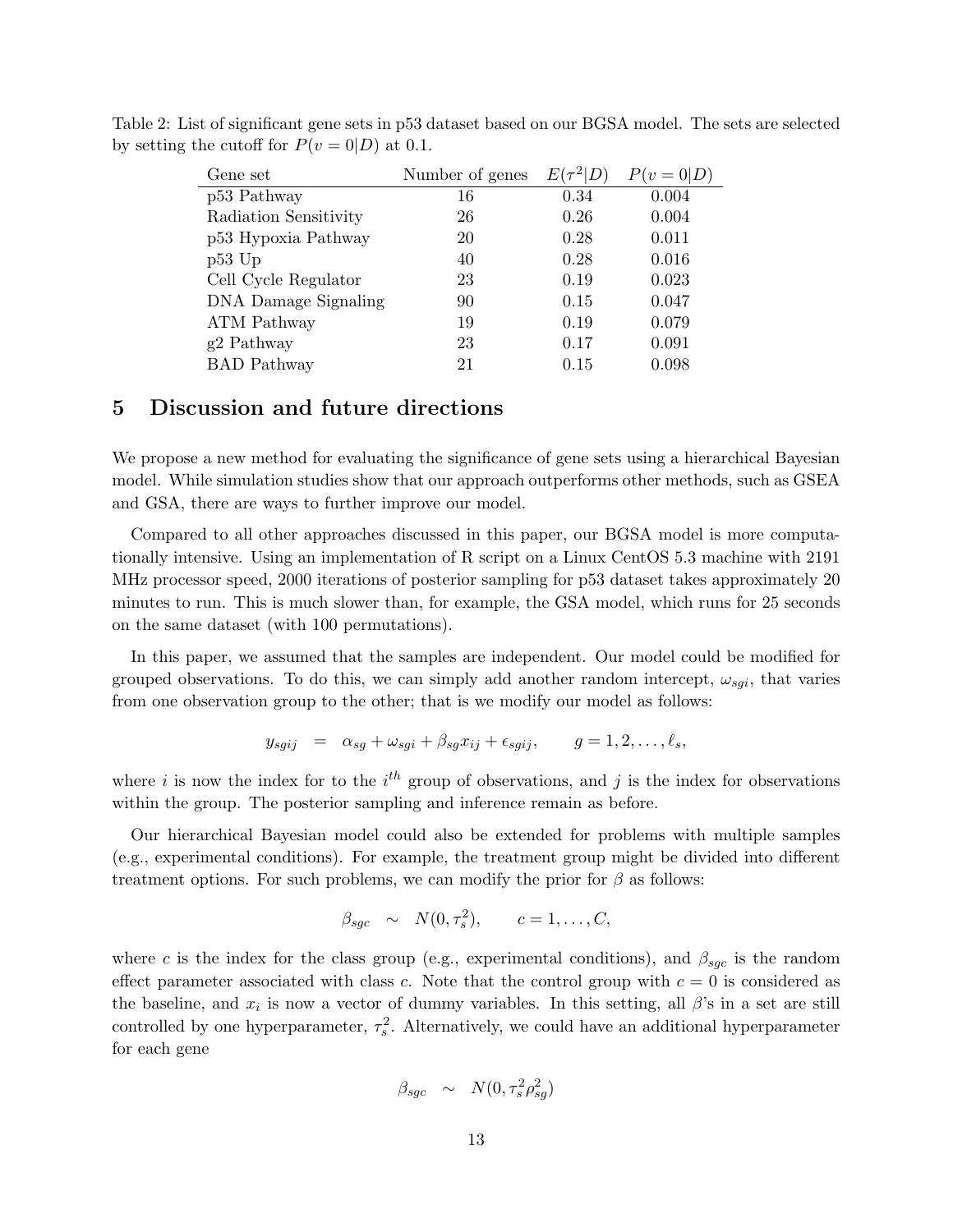<span id="page-12-0"></span>

| Gene set              | Number of genes | E    | $P(v=0 D)$ |
|-----------------------|-----------------|------|------------|
| p53 Pathway           | 16              | 0.34 | 0.004      |
| Radiation Sensitivity | 26              | 0.26 | 0.004      |
| p53 Hypoxia Pathway   | 20              | 0.28 | 0.011      |
| $p53$ Up              | 40              | 0.28 | 0.016      |
| Cell Cycle Regulator  | 23              | 0.19 | 0.023      |
| DNA Damage Signaling  | 90              | 0.15 | 0.047      |
| <b>ATM</b> Pathway    | 19              | 0.19 | 0.079      |
| g2 Pathway            | 23              | 0.17 | 0.091      |
| <b>BAD</b> Pathway    | 21              | 0.15 | 0.098      |

Table 2: List of significant gene sets in p53 dataset based on our BGSA model. The sets are selected by setting the cutoff for  $P(v = 0|D)$  at 0.1.

### 5 Discussion and future directions

We propose a new method for evaluating the significance of gene sets using a hierarchical Bayesian model. While simulation studies show that our approach outperforms other methods, such as GSEA and GSA, there are ways to further improve our model.

Compared to all other approaches discussed in this paper, our BGSA model is more computationally intensive. Using an implementation of R script on a Linux CentOS 5.3 machine with 2191 MHz processor speed, 2000 iterations of posterior sampling for p53 dataset takes approximately 20 minutes to run. This is much slower than, for example, the GSA model, which runs for 25 seconds on the same dataset (with 100 permutations).

In this paper, we assumed that the samples are independent. Our model could be modified for grouped observations. To do this, we can simply add another random intercept,  $\omega_{sgi}$ , that varies from one observation group to the other; that is we modify our model as follows:

$$
y_{sgij} = \alpha_{sg} + \omega_{sgi} + \beta_{sg} x_{ij} + \epsilon_{sgij}, \qquad g = 1, 2, \dots, \ell_s,
$$

where i is now the index for to the  $i<sup>th</sup>$  group of observations, and j is the index for observations within the group. The posterior sampling and inference remain as before.

Our hierarchical Bayesian model could also be extended for problems with multiple samples (e.g., experimental conditions). For example, the treatment group might be divided into different treatment options. For such problems, we can modify the prior for  $\beta$  as follows:

$$
\beta_{sgc} \sim N(0, \tau_s^2), \qquad c = 1, \ldots, C,
$$

where c is the index for the class group (e.g., experimental conditions), and  $\beta_{\text{sqc}}$  is the random effect parameter associated with class c. Note that the control group with  $c = 0$  is considered as the baseline, and  $x_i$  is now a vector of dummy variables. In this setting, all  $\beta$ 's in a set are still controlled by one hyperparameter,  $\tau_s^2$ . Alternatively, we could have an additional hyperparameter for each gene

$$
\beta_{sgc} \sim N(0, \tau_s^2 \rho_{sg}^2)
$$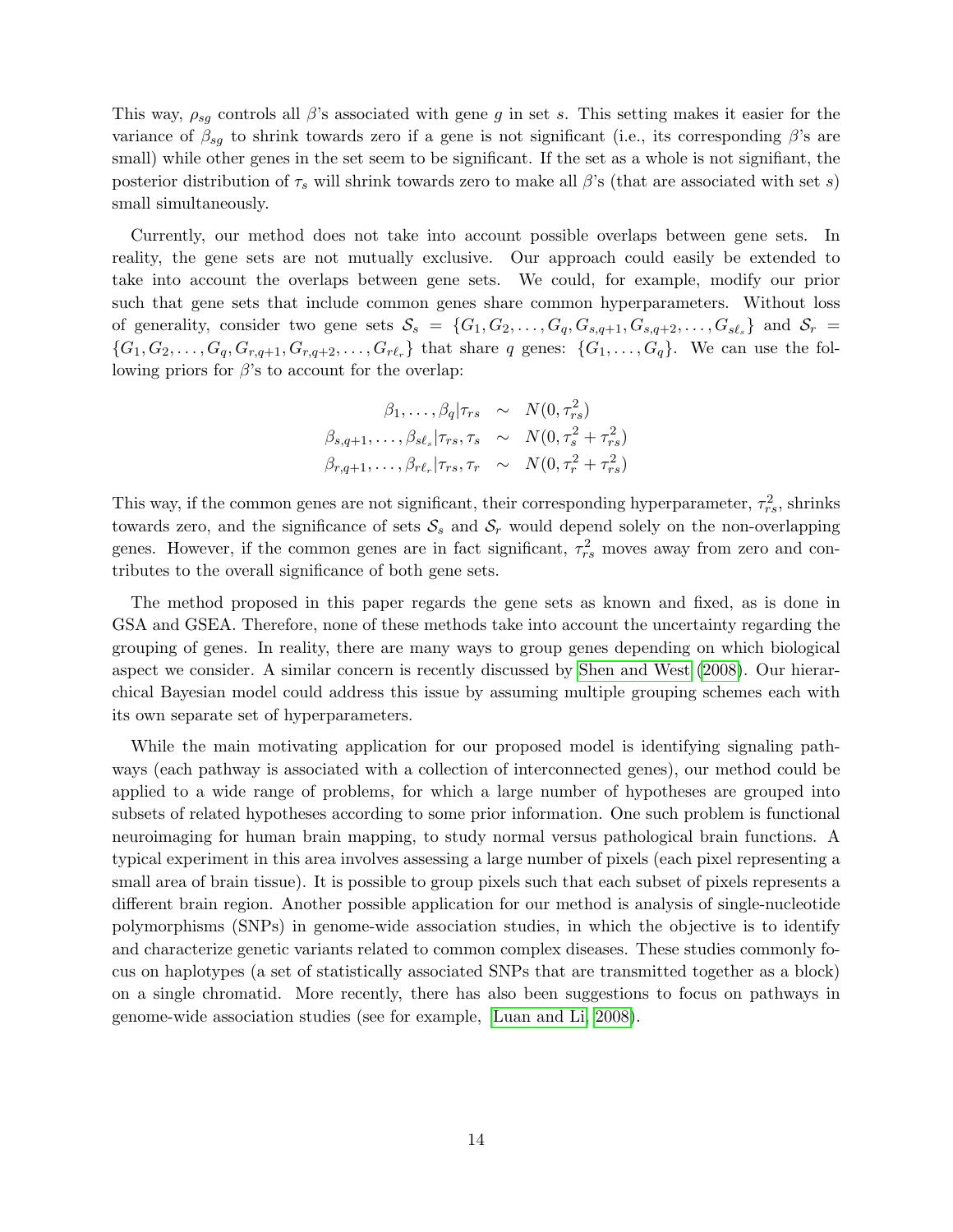This way,  $\rho_{sg}$  controls all  $\beta$ 's associated with gene g in set s. This setting makes it easier for the variance of  $\beta_{sq}$  to shrink towards zero if a gene is not significant (i.e., its corresponding  $\beta$ 's are small) while other genes in the set seem to be significant. If the set as a whole is not signifiant, the posterior distribution of  $\tau_s$  will shrink towards zero to make all  $\beta$ 's (that are associated with set s) small simultaneously.

Currently, our method does not take into account possible overlaps between gene sets. In reality, the gene sets are not mutually exclusive. Our approach could easily be extended to take into account the overlaps between gene sets. We could, for example, modify our prior such that gene sets that include common genes share common hyperparameters. Without loss of generality, consider two gene sets  $S_s = \{G_1, G_2, \ldots, G_q, G_{s,q+1}, G_{s,q+2}, \ldots, G_{s\ell_s}\}\$  and  $S_r =$  $\{G_1, G_2, \ldots, G_q, G_{r,q+1}, G_{r,q+2}, \ldots, G_{r\ell_r}\}\$  that share q genes:  $\{G_1, \ldots, G_q\}$ . We can use the following priors for  $\beta$ 's to account for the overlap:

$$
\beta_1, \dots, \beta_q | \tau_{rs} \sim N(0, \tau_{rs}^2)
$$
  

$$
\beta_{s,q+1}, \dots, \beta_{s\ell_s} | \tau_{rs}, \tau_s \sim N(0, \tau_s^2 + \tau_{rs}^2)
$$
  

$$
\beta_{r,q+1}, \dots, \beta_{r\ell_r} | \tau_{rs}, \tau_r \sim N(0, \tau_r^2 + \tau_{rs}^2)
$$

This way, if the common genes are not significant, their corresponding hyperparameter,  $\tau_{rs}^2$ , shrinks towards zero, and the significance of sets  $S_s$  and  $S_r$  would depend solely on the non-overlapping genes. However, if the common genes are in fact significant,  $\tau_{rs}^2$  moves away from zero and contributes to the overall significance of both gene sets.

The method proposed in this paper regards the gene sets as known and fixed, as is done in GSA and GSEA. Therefore, none of these methods take into account the uncertainty regarding the grouping of genes. In reality, there are many ways to group genes depending on which biological aspect we consider. A similar concern is recently discussed by [Shen and West](#page-15-12) [\(2008\)](#page-15-12). Our hierarchical Bayesian model could address this issue by assuming multiple grouping schemes each with its own separate set of hyperparameters.

While the main motivating application for our proposed model is identifying signaling pathways (each pathway is associated with a collection of interconnected genes), our method could be applied to a wide range of problems, for which a large number of hypotheses are grouped into subsets of related hypotheses according to some prior information. One such problem is functional neuroimaging for human brain mapping, to study normal versus pathological brain functions. A typical experiment in this area involves assessing a large number of pixels (each pixel representing a small area of brain tissue). It is possible to group pixels such that each subset of pixels represents a different brain region. Another possible application for our method is analysis of single-nucleotide polymorphisms (SNPs) in genome-wide association studies, in which the objective is to identify and characterize genetic variants related to common complex diseases. These studies commonly focus on haplotypes (a set of statistically associated SNPs that are transmitted together as a block) on a single chromatid. More recently, there has also been suggestions to focus on pathways in genome-wide association studies (see for example, [Luan and Li, 2008\)](#page-14-12).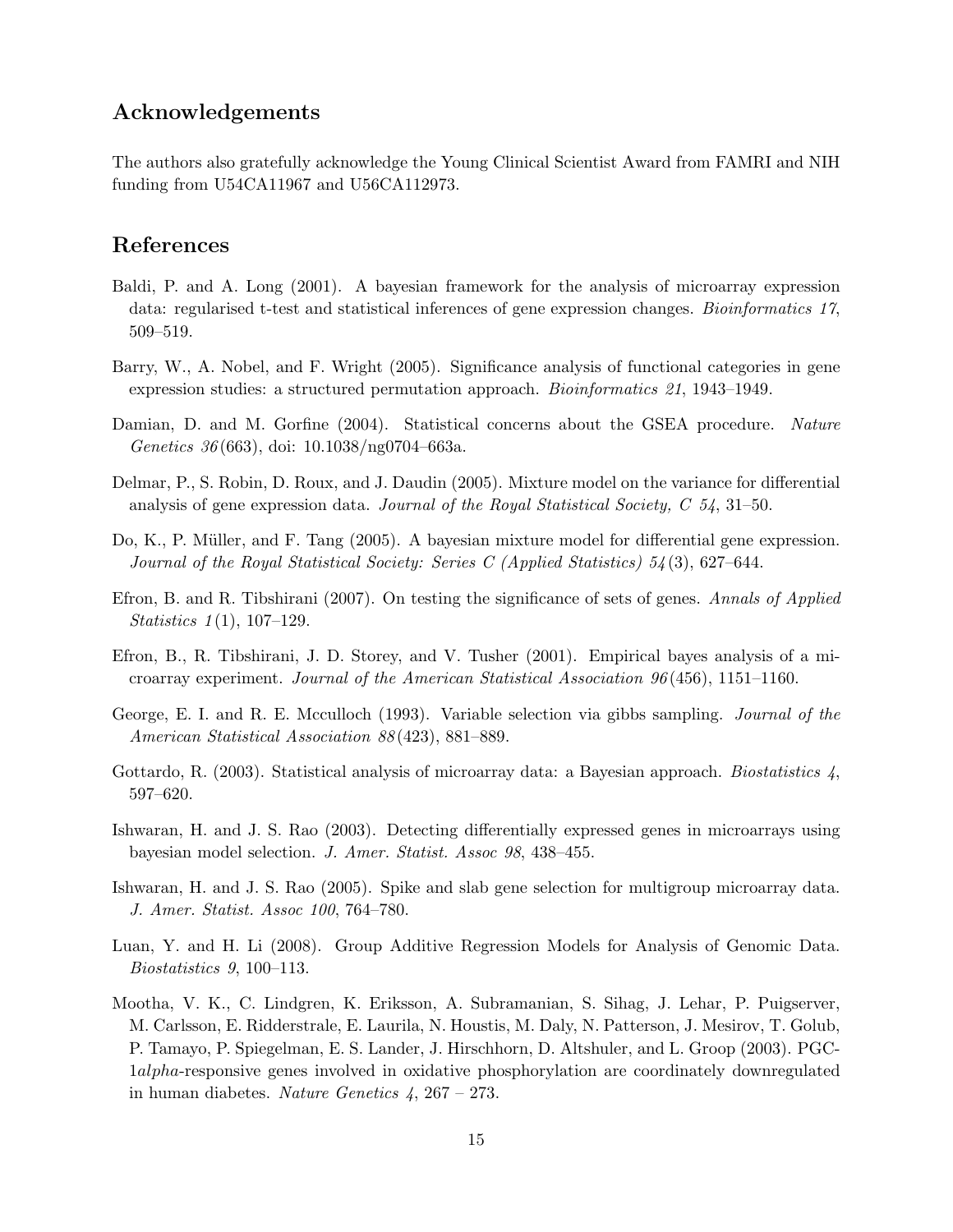# Acknowledgements

The authors also gratefully acknowledge the Young Clinical Scientist Award from FAMRI and NIH funding from U54CA11967 and U56CA112973.

## References

- <span id="page-14-0"></span>Baldi, P. and A. Long (2001). A bayesian framework for the analysis of microarray expression data: regularised t-test and statistical inferences of gene expression changes. Bioinformatics 17, 509–519.
- <span id="page-14-8"></span>Barry, W., A. Nobel, and F. Wright (2005). Significance analysis of functional categories in gene expression studies: a structured permutation approach. Bioinformatics 21, 1943–1949.
- <span id="page-14-10"></span>Damian, D. and M. Gorfine (2004). Statistical concerns about the GSEA procedure. Nature Genetics 36 (663), doi: 10.1038/ng0704–663a.
- <span id="page-14-5"></span>Delmar, P., S. Robin, D. Roux, and J. Daudin (2005). Mixture model on the variance for differential analysis of gene expression data. Journal of the Royal Statistical Society,  $C$  54, 31–50.
- <span id="page-14-6"></span>Do, K., P. Müller, and F. Tang (2005). A bayesian mixture model for differential gene expression. Journal of the Royal Statistical Society: Series C (Applied Statistics) 54 (3), 627–644.
- <span id="page-14-9"></span>Efron, B. and R. Tibshirani (2007). On testing the significance of sets of genes. Annals of Applied *Statistics*  $1(1)$ , 107–129.
- <span id="page-14-1"></span>Efron, B., R. Tibshirani, J. D. Storey, and V. Tusher (2001). Empirical bayes analysis of a microarray experiment. Journal of the American Statistical Association  $96(456)$ , 1151–1160.
- <span id="page-14-11"></span>George, E. I. and R. E. Mcculloch (1993). Variable selection via gibbs sampling. Journal of the American Statistical Association 88 (423), 881–889.
- <span id="page-14-2"></span>Gottardo, R. (2003). Statistical analysis of microarray data: a Bayesian approach. Biostatistics  $\lambda$ , 597–620.
- <span id="page-14-3"></span>Ishwaran, H. and J. S. Rao (2003). Detecting differentially expressed genes in microarrays using bayesian model selection. J. Amer. Statist. Assoc 98, 438–455.
- <span id="page-14-4"></span>Ishwaran, H. and J. S. Rao (2005). Spike and slab gene selection for multigroup microarray data. J. Amer. Statist. Assoc 100, 764–780.
- <span id="page-14-12"></span>Luan, Y. and H. Li (2008). Group Additive Regression Models for Analysis of Genomic Data. Biostatistics 9, 100–113.
- <span id="page-14-7"></span>Mootha, V. K., C. Lindgren, K. Eriksson, A. Subramanian, S. Sihag, J. Lehar, P. Puigserver, M. Carlsson, E. Ridderstrale, E. Laurila, N. Houstis, M. Daly, N. Patterson, J. Mesirov, T. Golub, P. Tamayo, P. Spiegelman, E. S. Lander, J. Hirschhorn, D. Altshuler, and L. Groop (2003). PGC-1alpha-responsive genes involved in oxidative phosphorylation are coordinately downregulated in human diabetes. Nature Genetics  $4, 267 - 273$ .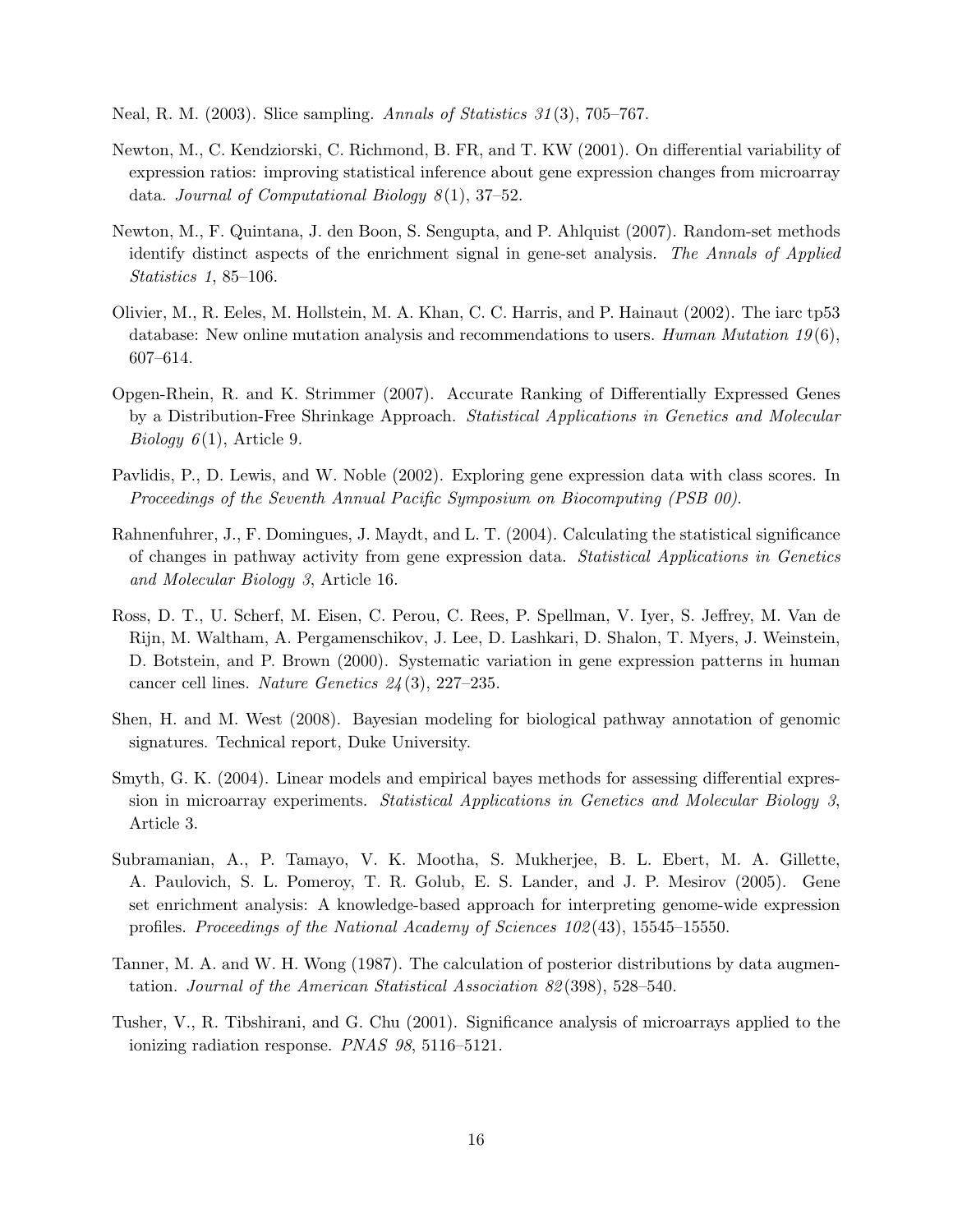<span id="page-15-9"></span>Neal, R. M. (2003). Slice sampling. Annals of Statistics 31 (3), 705–767.

- <span id="page-15-0"></span>Newton, M., C. Kendziorski, C. Richmond, B. FR, and T. KW (2001). On differential variability of expression ratios: improving statistical inference about gene expression changes from microarray data. Journal of Computational Biology  $8(1)$ , 37-52.
- <span id="page-15-7"></span>Newton, M., F. Quintana, J. den Boon, S. Sengupta, and P. Ahlquist (2007). Random-set methods identify distinct aspects of the enrichment signal in gene-set analysis. The Annals of Applied Statistics 1, 85–106.
- <span id="page-15-11"></span>Olivier, M., R. Eeles, M. Hollstein, M. A. Khan, C. C. Harris, and P. Hainaut (2002). The iarc tp53 database: New online mutation analysis and recommendations to users. Human Mutation  $19(6)$ , 607–614.
- <span id="page-15-3"></span>Opgen-Rhein, R. and K. Strimmer (2007). Accurate Ranking of Differentially Expressed Genes by a Distribution-Free Shrinkage Approach. Statistical Applications in Genetics and Molecular *Biology*  $6(1)$ , Article 9.
- <span id="page-15-5"></span>Pavlidis, P., D. Lewis, and W. Noble (2002). Exploring gene expression data with class scores. In Proceedings of the Seventh Annual Pacific Symposium on Biocomputing (PSB 00).
- <span id="page-15-6"></span>Rahnenfuhrer, J., F. Domingues, J. Maydt, and L. T. (2004). Calculating the statistical significance of changes in pathway activity from gene expression data. Statistical Applications in Genetics and Molecular Biology 3, Article 16.
- <span id="page-15-10"></span>Ross, D. T., U. Scherf, M. Eisen, C. Perou, C. Rees, P. Spellman, V. Iyer, S. Jeffrey, M. Van de Rijn, M. Waltham, A. Pergamenschikov, J. Lee, D. Lashkari, D. Shalon, T. Myers, J. Weinstein, D. Botstein, and P. Brown (2000). Systematic variation in gene expression patterns in human cancer cell lines. Nature Genetics 24 (3), 227–235.
- <span id="page-15-12"></span>Shen, H. and M. West (2008). Bayesian modeling for biological pathway annotation of genomic signatures. Technical report, Duke University.
- <span id="page-15-2"></span>Smyth, G. K. (2004). Linear models and empirical bayes methods for assessing differential expression in microarray experiments. Statistical Applications in Genetics and Molecular Biology 3, Article 3.
- <span id="page-15-4"></span>Subramanian, A., P. Tamayo, V. K. Mootha, S. Mukherjee, B. L. Ebert, M. A. Gillette, A. Paulovich, S. L. Pomeroy, T. R. Golub, E. S. Lander, and J. P. Mesirov (2005). Gene set enrichment analysis: A knowledge-based approach for interpreting genome-wide expression profiles. Proceedings of the National Academy of Sciences 102 (43), 15545–15550.
- <span id="page-15-8"></span>Tanner, M. A. and W. H. Wong (1987). The calculation of posterior distributions by data augmentation. Journal of the American Statistical Association 82 (398), 528–540.
- <span id="page-15-1"></span>Tusher, V., R. Tibshirani, and G. Chu (2001). Significance analysis of microarrays applied to the ionizing radiation response. PNAS 98, 5116–5121.